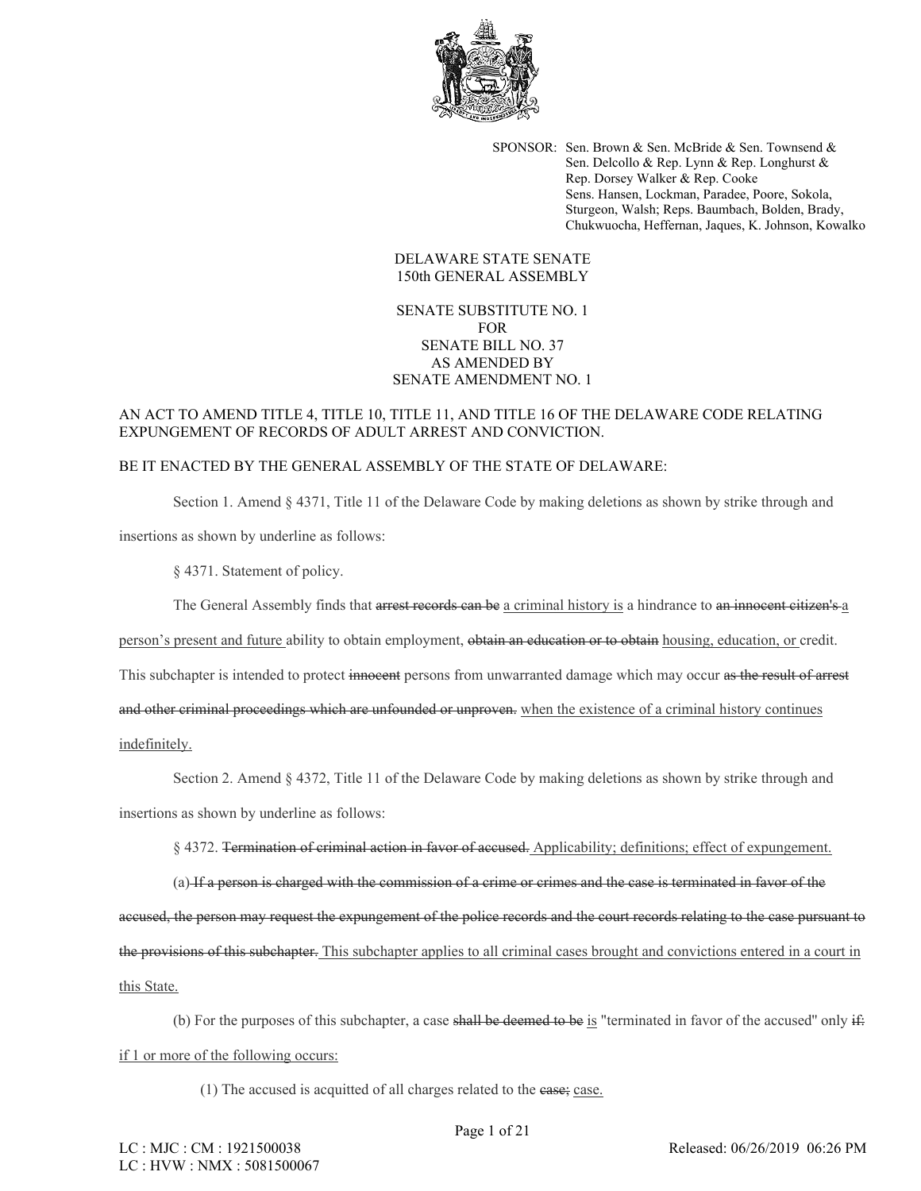

SPONSOR: Sen. Brown & Sen. McBride & Sen. Townsend & Sen. Delcollo & Rep. Lynn & Rep. Longhurst & Rep. Dorsey Walker & Rep. Cooke Sens. Hansen, Lockman, Paradee, Poore, Sokola, Sturgeon, Walsh; Reps. Baumbach, Bolden, Brady, Chukwuocha, Heffernan, Jaques, K. Johnson, Kowalko

## DELAWARE STATE SENATE 150th GENERAL ASSEMBLY

SENATE SUBSTITUTE NO. 1 FOR SENATE BILL NO. 37 AS AMENDED BY SENATE AMENDMENT NO. 1

## AN ACT TO AMEND TITLE 4, TITLE 10, TITLE 11, AND TITLE 16 OF THE DELAWARE CODE RELATING EXPUNGEMENT OF RECORDS OF ADULT ARREST AND CONVICTION.

## BE IT ENACTED BY THE GENERAL ASSEMBLY OF THE STATE OF DELAWARE:

Section 1. Amend § 4371, Title 11 of the Delaware Code by making deletions as shown by strike through and

insertions as shown by underline as follows:

§ 4371. Statement of policy.

The General Assembly finds that arrest records can be a criminal history is a hindrance to an innocent citizen's a

person's present and future ability to obtain employment, obtain an education or to obtain housing, education, or credit.

This subchapter is intended to protect innocent persons from unwarranted damage which may occur as the result of arrest

and other criminal proceedings which are unfounded or unproven. when the existence of a criminal history continues

indefinitely.

Section 2. Amend § 4372, Title 11 of the Delaware Code by making deletions as shown by strike through and insertions as shown by underline as follows:

§ 4372. Termination of criminal action in favor of accused. Applicability; definitions; effect of expungement.

(a) If a person is charged with the commission of a crime or crimes and the case is terminated in favor of the accused, the person may request the expungement of the police records and the court records relating to the case pursuant to the provisions of this subchapter. This subchapter applies to all criminal cases brought and convictions entered in a court in this State.

(b) For the purposes of this subchapter, a case shall be deemed to be is "terminated in favor of the accused" only  $\ddot{H}$ : if 1 or more of the following occurs:

(1) The accused is acquitted of all charges related to the case; case.

Page 1 of 21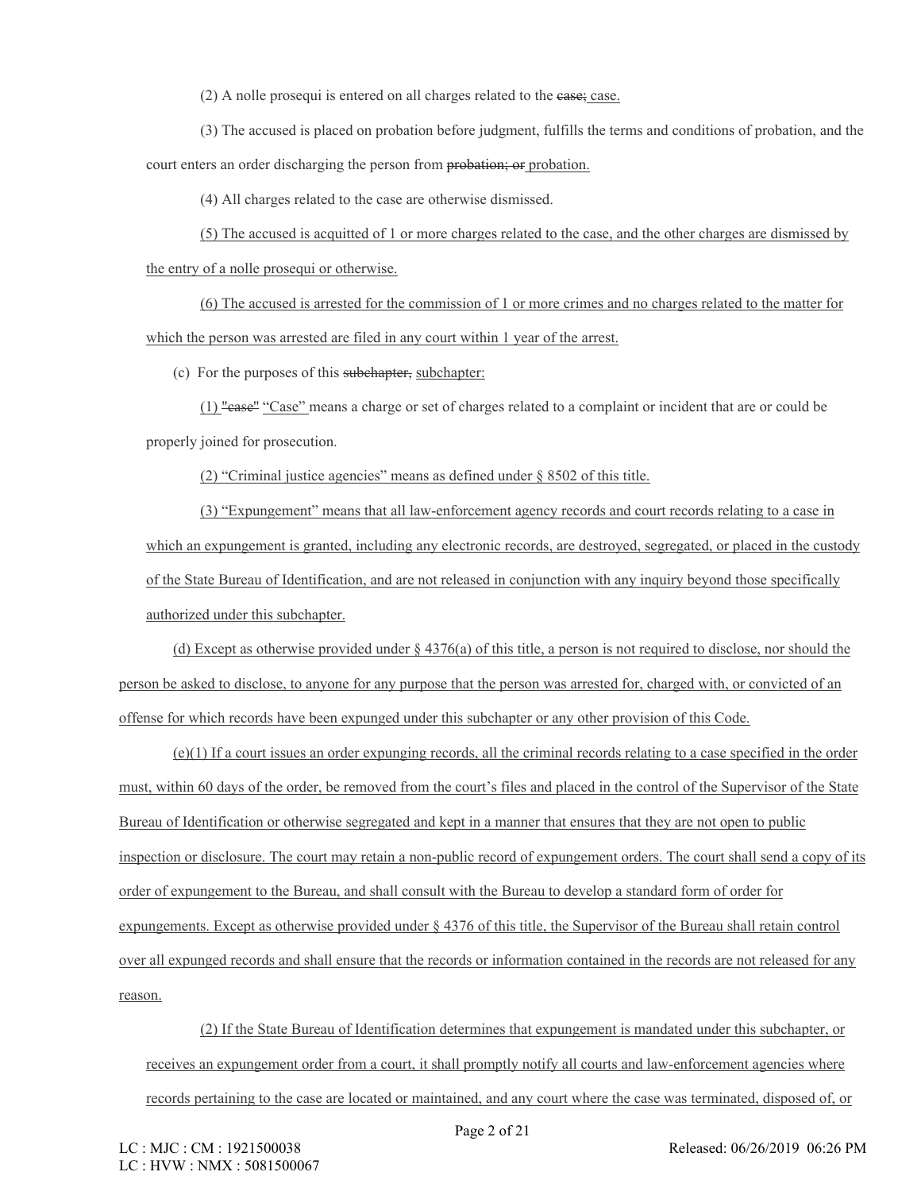(2) A nolle prosequi is entered on all charges related to the case; case.

(3) The accused is placed on probation before judgment, fulfills the terms and conditions of probation, and the court enters an order discharging the person from probation; or probation.

(4) All charges related to the case are otherwise dismissed.

(5) The accused is acquitted of 1 or more charges related to the case, and the other charges are dismissed by the entry of a nolle prosequi or otherwise.

(6) The accused is arrested for the commission of 1 or more crimes and no charges related to the matter for which the person was arrested are filed in any court within 1 year of the arrest.

(c) For the purposes of this subchapter, subchapter:

(1) "case'' "Case" means a charge or set of charges related to a complaint or incident that are or could be properly joined for prosecution.

(2) "Criminal justice agencies" means as defined under § 8502 of this title.

(3) "Expungement" means that all law-enforcement agency records and court records relating to a case in which an expungement is granted, including any electronic records, are destroyed, segregated, or placed in the custody of the State Bureau of Identification, and are not released in conjunction with any inquiry beyond those specifically authorized under this subchapter.

(d) Except as otherwise provided under § 4376(a) of this title, a person is not required to disclose, nor should the person be asked to disclose, to anyone for any purpose that the person was arrested for, charged with, or convicted of an offense for which records have been expunged under this subchapter or any other provision of this Code.

 $(e)(1)$  If a court issues an order expunging records, all the criminal records relating to a case specified in the order must, within 60 days of the order, be removed from the court's files and placed in the control of the Supervisor of the State Bureau of Identification or otherwise segregated and kept in a manner that ensures that they are not open to public inspection or disclosure. The court may retain a non-public record of expungement orders. The court shall send a copy of its order of expungement to the Bureau, and shall consult with the Bureau to develop a standard form of order for expungements. Except as otherwise provided under § 4376 of this title, the Supervisor of the Bureau shall retain control over all expunged records and shall ensure that the records or information contained in the records are not released for any reason.

(2) If the State Bureau of Identification determines that expungement is mandated under this subchapter, or receives an expungement order from a court, it shall promptly notify all courts and law-enforcement agencies where records pertaining to the case are located or maintained, and any court where the case was terminated, disposed of, or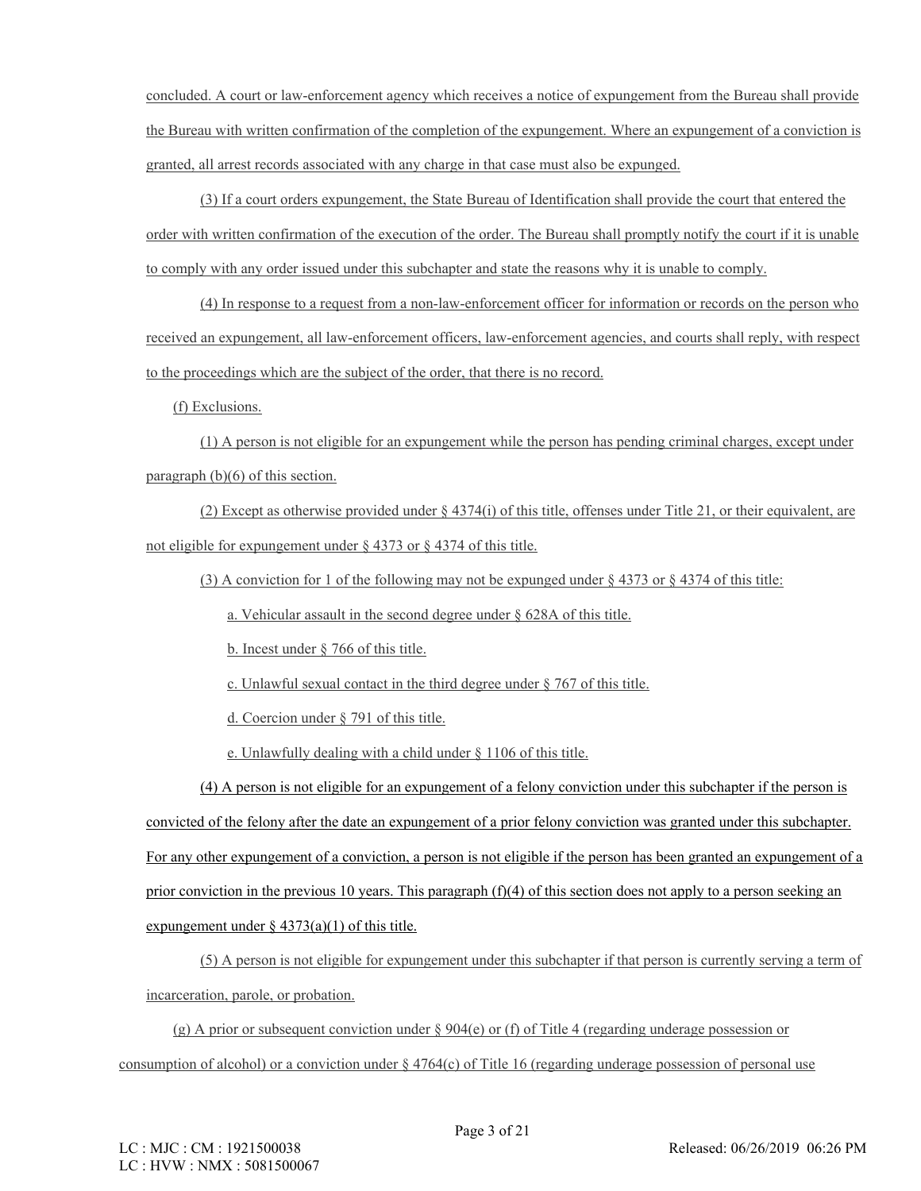concluded. A court or law-enforcement agency which receives a notice of expungement from the Bureau shall provide the Bureau with written confirmation of the completion of the expungement. Where an expungement of a conviction is granted, all arrest records associated with any charge in that case must also be expunged.

(3) If a court orders expungement, the State Bureau of Identification shall provide the court that entered the order with written confirmation of the execution of the order. The Bureau shall promptly notify the court if it is unable to comply with any order issued under this subchapter and state the reasons why it is unable to comply.

(4) In response to a request from a non-law-enforcement officer for information or records on the person who received an expungement, all law-enforcement officers, law-enforcement agencies, and courts shall reply, with respect to the proceedings which are the subject of the order, that there is no record.

(f) Exclusions.

(1) A person is not eligible for an expungement while the person has pending criminal charges, except under paragraph (b)(6) of this section.

(2) Except as otherwise provided under  $\S 4374(i)$  of this title, offenses under Title 21, or their equivalent, are not eligible for expungement under § 4373 or § 4374 of this title.

(3) A conviction for 1 of the following may not be expunged under § 4373 or § 4374 of this title:

a. Vehicular assault in the second degree under § 628A of this title.

b. Incest under § 766 of this title.

c. Unlawful sexual contact in the third degree under § 767 of this title.

d. Coercion under § 791 of this title.

e. Unlawfully dealing with a child under § 1106 of this title.

(4) A person is not eligible for an expungement of a felony conviction under this subchapter if the person is convicted of the felony after the date an expungement of a prior felony conviction was granted under this subchapter. For any other expungement of a conviction, a person is not eligible if the person has been granted an expungement of a prior conviction in the previous 10 years. This paragraph (f)(4) of this section does not apply to a person seeking an expungement under  $\S$  4373(a)(1) of this title.

(5) A person is not eligible for expungement under this subchapter if that person is currently serving a term of incarceration, parole, or probation.

(g) A prior or subsequent conviction under § 904(e) or (f) of Title 4 (regarding underage possession or consumption of alcohol) or a conviction under  $\S 4764(c)$  of Title 16 (regarding underage possession of personal use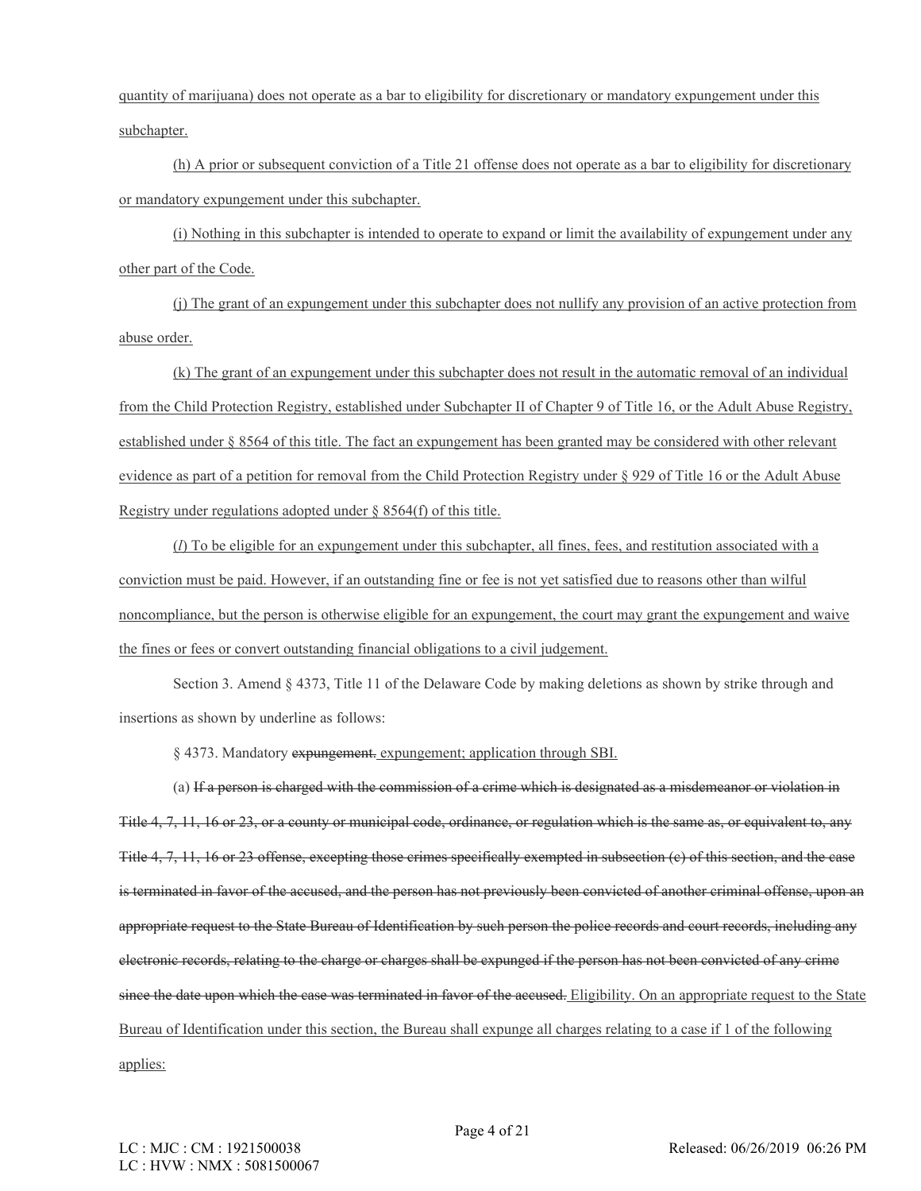quantity of marijuana) does not operate as a bar to eligibility for discretionary or mandatory expungement under this subchapter.

(h) A prior or subsequent conviction of a Title 21 offense does not operate as a bar to eligibility for discretionary or mandatory expungement under this subchapter.

(i) Nothing in this subchapter is intended to operate to expand or limit the availability of expungement under any other part of the Code.

(j) The grant of an expungement under this subchapter does not nullify any provision of an active protection from abuse order.

(k) The grant of an expungement under this subchapter does not result in the automatic removal of an individual from the Child Protection Registry, established under Subchapter II of Chapter 9 of Title 16, or the Adult Abuse Registry, established under § 8564 of this title. The fact an expungement has been granted may be considered with other relevant evidence as part of a petition for removal from the Child Protection Registry under § 929 of Title 16 or the Adult Abuse Registry under regulations adopted under § 8564(f) of this title.

(*l*) To be eligible for an expungement under this subchapter, all fines, fees, and restitution associated with a conviction must be paid. However, if an outstanding fine or fee is not yet satisfied due to reasons other than wilful noncompliance, but the person is otherwise eligible for an expungement, the court may grant the expungement and waive the fines or fees or convert outstanding financial obligations to a civil judgement.

Section 3. Amend § 4373, Title 11 of the Delaware Code by making deletions as shown by strike through and insertions as shown by underline as follows:

§ 4373. Mandatory expungement. expungement; application through SBI.

(a) If a person is charged with the commission of a crime which is designated as a misdemeanor or violation in Title 4, 7, 11, 16 or 23, or a county or municipal code, ordinance, or regulation which is the same as, or equivalent to, any Title 4, 7, 11, 16 or 23 offense, excepting those crimes specifically exempted in subsection (c) of this section, and the case is terminated in favor of the accused, and the person has not previously been convicted of another criminal offense, upon an appropriate request to the State Bureau of Identification by such person the police records and court records, including any electronic records, relating to the charge or charges shall be expunged if the person has not been convicted of any crime since the date upon which the case was terminated in favor of the accused. Eligibility. On an appropriate request to the State Bureau of Identification under this section, the Bureau shall expunge all charges relating to a case if 1 of the following applies: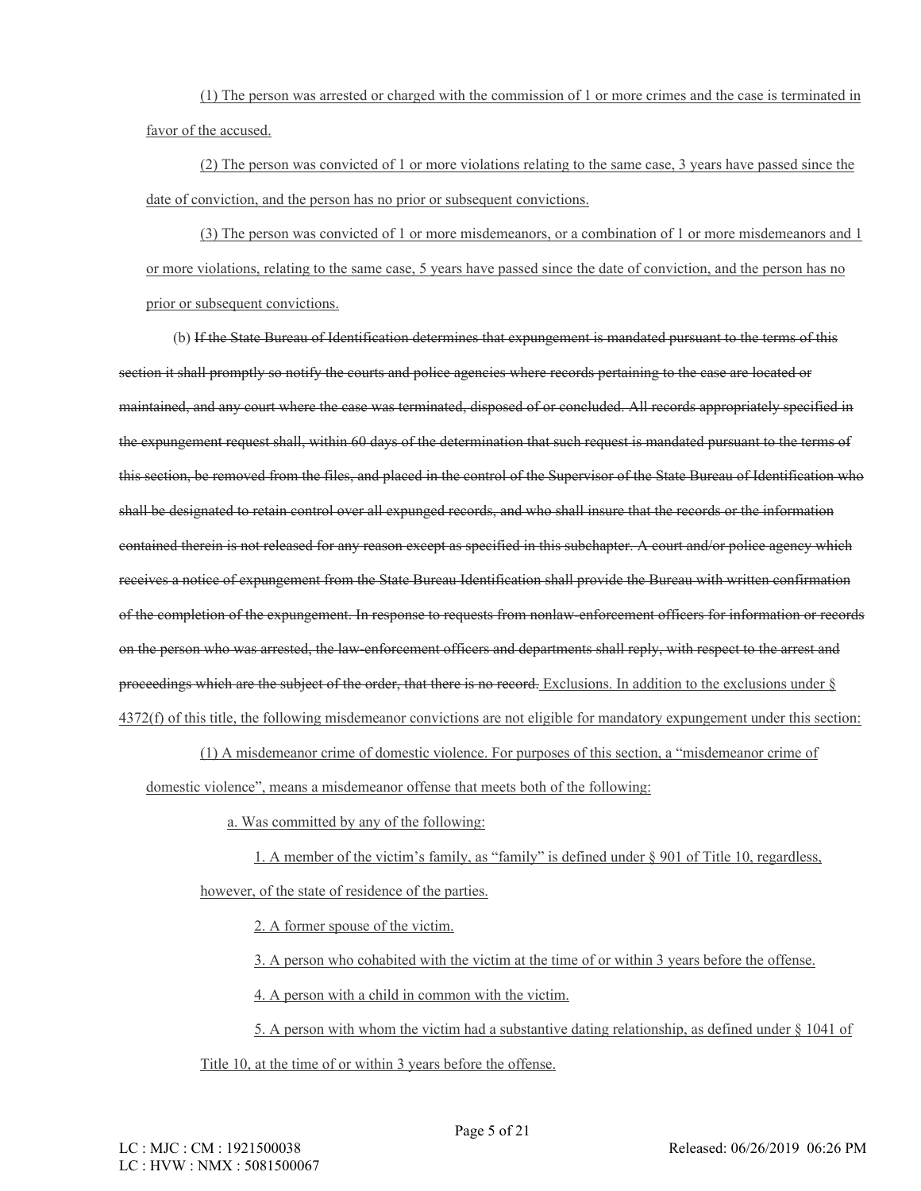(1) The person was arrested or charged with the commission of 1 or more crimes and the case is terminated in favor of the accused.

(2) The person was convicted of 1 or more violations relating to the same case, 3 years have passed since the date of conviction, and the person has no prior or subsequent convictions.

(3) The person was convicted of 1 or more misdemeanors, or a combination of 1 or more misdemeanors and 1 or more violations, relating to the same case, 5 years have passed since the date of conviction, and the person has no prior or subsequent convictions.

(b) If the State Bureau of Identification determines that expungement is mandated pursuant to the terms of this section it shall promptly so notify the courts and police agencies where records pertaining to the case are located or maintained, and any court where the case was terminated, disposed of or concluded. All records appropriately specified in the expungement request shall, within 60 days of the determination that such request is mandated pursuant to the terms of this section, be removed from the files, and placed in the control of the Supervisor of the State Bureau of Identification who shall be designated to retain control over all expunged records, and who shall insure that the records or the information contained therein is not released for any reason except as specified in this subchapter. A court and/or police agency which receives a notice of expungement from the State Bureau Identification shall provide the Bureau with written confirmation of the completion of the expungement. In response to requests from nonlaw-enforcement officers for information or records on the person who was arrested, the law-enforcement officers and departments shall reply, with respect to the arrest and proceedings which are the subject of the order, that there is no record. Exclusions. In addition to the exclusions under § 4372(f) of this title, the following misdemeanor convictions are not eligible for mandatory expungement under this section:

(1) A misdemeanor crime of domestic violence. For purposes of this section, a "misdemeanor crime of domestic violence", means a misdemeanor offense that meets both of the following:

a. Was committed by any of the following:

1. A member of the victim's family, as "family" is defined under § 901 of Title 10, regardless, however, of the state of residence of the parties.

2. A former spouse of the victim.

3. A person who cohabited with the victim at the time of or within 3 years before the offense.

4. A person with a child in common with the victim.

5. A person with whom the victim had a substantive dating relationship, as defined under § 1041 of Title 10, at the time of or within 3 years before the offense.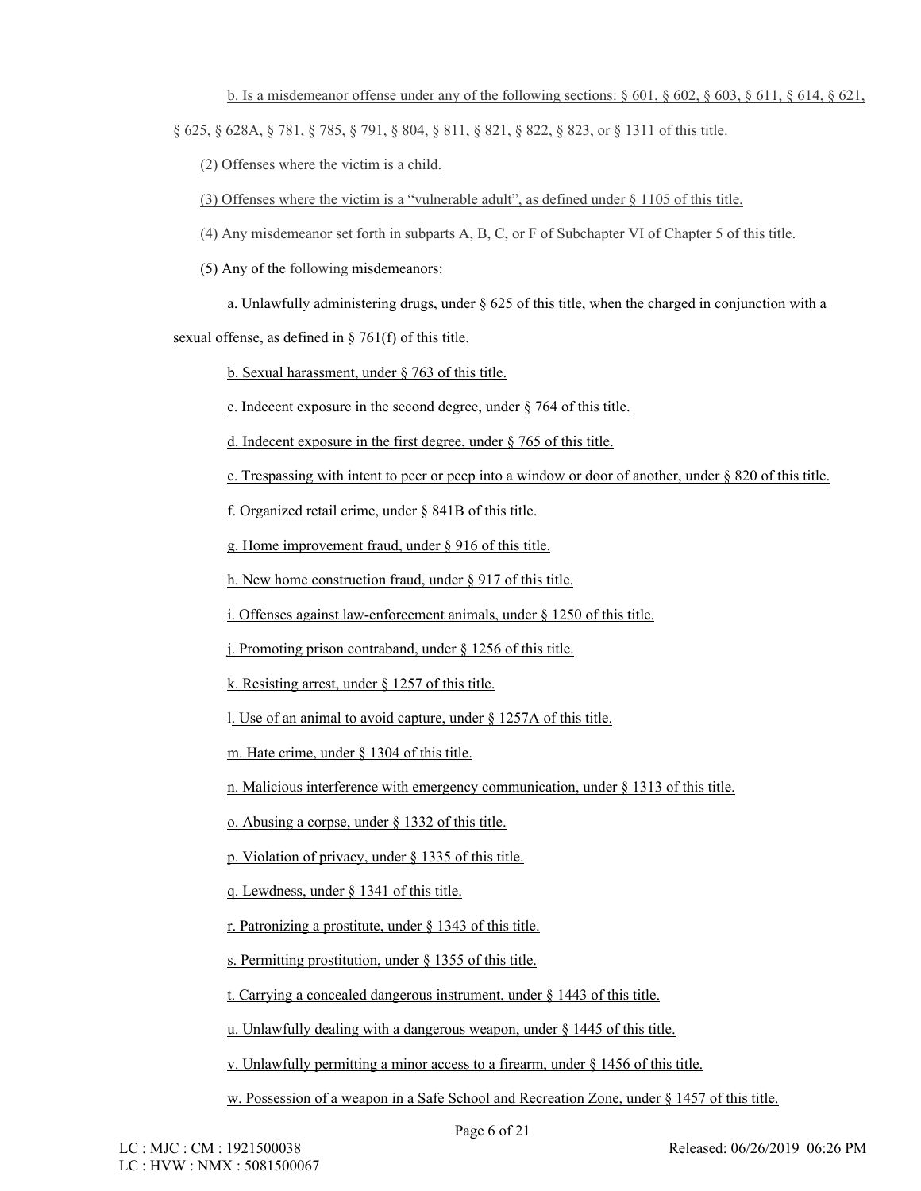b. Is a misdemeanor offense under any of the following sections:  $\S 601$ ,  $\S 602$ ,  $\S 603$ ,  $\S 611$ ,  $\S 614$ ,  $\S 621$ , § 625, § 628A, § 781, § 785, § 791, § 804, § 811, § 821, § 822, § 823, or § 1311 of this title.

(2) Offenses where the victim is a child.

(3) Offenses where the victim is a "vulnerable adult", as defined under § 1105 of this title.

(4) Any misdemeanor set forth in subparts A, B, C, or F of Subchapter VI of Chapter 5 of this title.

(5) Any of the following misdemeanors:

a. Unlawfully administering drugs, under  $\S$  625 of this title, when the charged in conjunction with a

sexual offense, as defined in § 761(f) of this title.

b. Sexual harassment, under § 763 of this title.

c. Indecent exposure in the second degree, under § 764 of this title.

d. Indecent exposure in the first degree, under § 765 of this title.

e. Trespassing with intent to peer or peep into a window or door of another, under § 820 of this title.

f. Organized retail crime, under § 841B of this title.

g. Home improvement fraud, under § 916 of this title.

h. New home construction fraud, under § 917 of this title.

i. Offenses against law-enforcement animals, under § 1250 of this title.

j. Promoting prison contraband, under § 1256 of this title.

k. Resisting arrest, under § 1257 of this title.

l. Use of an animal to avoid capture, under § 1257A of this title.

m. Hate crime, under § 1304 of this title.

n. Malicious interference with emergency communication, under § 1313 of this title.

o. Abusing a corpse, under § 1332 of this title.

p. Violation of privacy, under § 1335 of this title.

q. Lewdness, under § 1341 of this title.

r. Patronizing a prostitute, under § 1343 of this title.

s. Permitting prostitution, under § 1355 of this title.

t. Carrying a concealed dangerous instrument, under § 1443 of this title.

u. Unlawfully dealing with a dangerous weapon, under § 1445 of this title.

v. Unlawfully permitting a minor access to a firearm, under § 1456 of this title.

w. Possession of a weapon in a Safe School and Recreation Zone, under § 1457 of this title.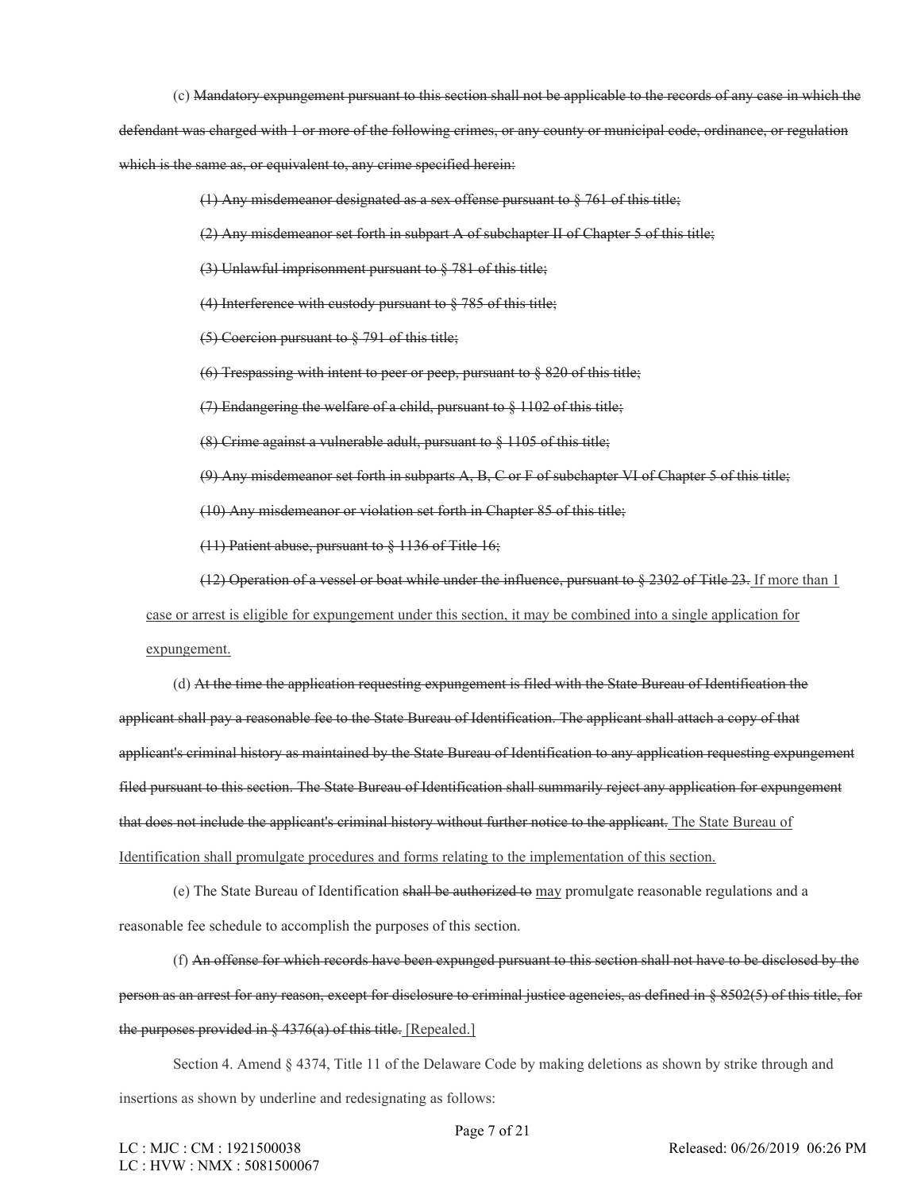(c) Mandatory expungement pursuant to this section shall not be applicable to the records of any case in which the

defendant was charged with 1 or more of the following crimes, or any county or municipal code, ordinance, or regulation which is the same as, or equivalent to, any crime specified herein:

(1) Any misdemeanor designated as a sex offense pursuant to § 761 of this title;

(2) Any misdemeanor set forth in subpart A of subchapter II of Chapter 5 of this title;

(3) Unlawful imprisonment pursuant to § 781 of this title;

(4) Interference with custody pursuant to § 785 of this title;

(5) Coercion pursuant to § 791 of this title;

(6) Trespassing with intent to peer or peep, pursuant to § 820 of this title;

(7) Endangering the welfare of a child, pursuant to § 1102 of this title;

(8) Crime against a vulnerable adult, pursuant to § 1105 of this title;

(9) Any misdemeanor set forth in subparts A, B, C or F of subchapter VI of Chapter 5 of this title;

(10) Any misdemeanor or violation set forth in Chapter 85 of this title;

(11) Patient abuse, pursuant to § 1136 of Title 16;

(12) Operation of a vessel or boat while under the influence, pursuant to § 2302 of Title 23. If more than 1

case or arrest is eligible for expungement under this section, it may be combined into a single application for

expungement.

(d) At the time the application requesting expungement is filed with the State Bureau of Identification the applicant shall pay a reasonable fee to the State Bureau of Identification. The applicant shall attach a copy of that applicant's criminal history as maintained by the State Bureau of Identification to any application requesting expungement filed pursuant to this section. The State Bureau of Identification shall summarily reject any application for expungement that does not include the applicant's criminal history without further notice to the applicant. The State Bureau of Identification shall promulgate procedures and forms relating to the implementation of this section.

(e) The State Bureau of Identification shall be authorized to may promulgate reasonable regulations and a reasonable fee schedule to accomplish the purposes of this section.

(f) An offense for which records have been expunged pursuant to this section shall not have to be disclosed by the person as an arrest for any reason, except for disclosure to criminal justice agencies, as defined in § 8502(5) of this title, for the purposes provided in  $\S$  4376(a) of this title. [Repealed.]

Section 4. Amend § 4374, Title 11 of the Delaware Code by making deletions as shown by strike through and insertions as shown by underline and redesignating as follows: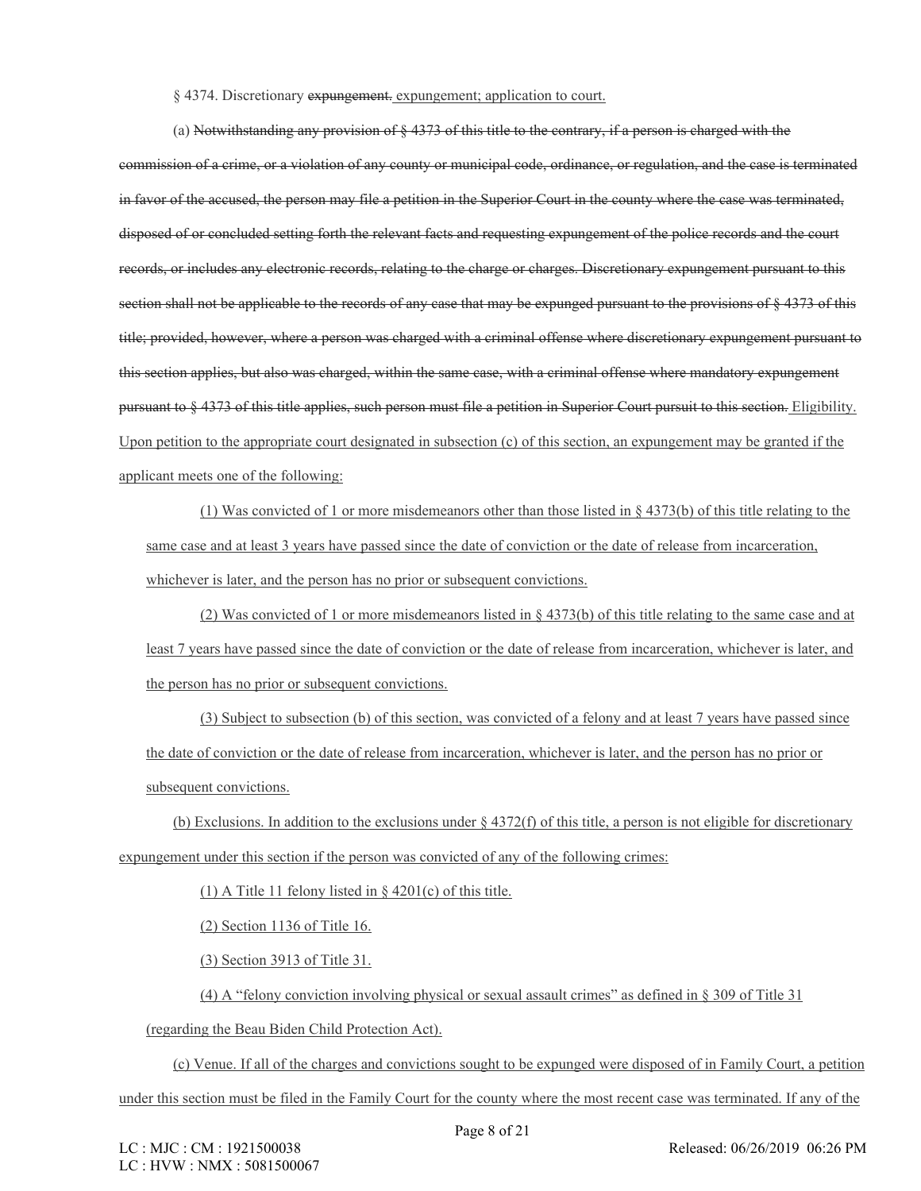## § 4374. Discretionary expungement. expungement; application to court.

(a) Notwithstanding any provision of § 4373 of this title to the contrary, if a person is charged with the

commission of a crime, or a violation of any county or municipal code, ordinance, or regulation, and the case is terminated in favor of the accused, the person may file a petition in the Superior Court in the county where the case was terminated, disposed of or concluded setting forth the relevant facts and requesting expungement of the police records and the court records, or includes any electronic records, relating to the charge or charges. Discretionary expungement pursuant to this section shall not be applicable to the records of any case that may be expunged pursuant to the provisions of § 4373 of this title; provided, however, where a person was charged with a criminal offense where discretionary expungement pursuant to this section applies, but also was charged, within the same case, with a criminal offense where mandatory expungement pursuant to § 4373 of this title applies, such person must file a petition in Superior Court pursuit to this section. Eligibility. Upon petition to the appropriate court designated in subsection (c) of this section, an expungement may be granted if the applicant meets one of the following:

(1) Was convicted of 1 or more misdemeanors other than those listed in § 4373(b) of this title relating to the same case and at least 3 years have passed since the date of conviction or the date of release from incarceration, whichever is later, and the person has no prior or subsequent convictions.

(2) Was convicted of 1 or more misdemeanors listed in § 4373(b) of this title relating to the same case and at least 7 years have passed since the date of conviction or the date of release from incarceration, whichever is later, and the person has no prior or subsequent convictions.

(3) Subject to subsection (b) of this section, was convicted of a felony and at least 7 years have passed since the date of conviction or the date of release from incarceration, whichever is later, and the person has no prior or subsequent convictions.

(b) Exclusions. In addition to the exclusions under § 4372(f) of this title, a person is not eligible for discretionary expungement under this section if the person was convicted of any of the following crimes:

(1) A Title 11 felony listed in  $\S$  4201(c) of this title.

(2) Section 1136 of Title 16.

(3) Section 3913 of Title 31.

(4) A "felony conviction involving physical or sexual assault crimes" as defined in § 309 of Title 31

(regarding the Beau Biden Child Protection Act).

(c) Venue. If all of the charges and convictions sought to be expunged were disposed of in Family Court, a petition under this section must be filed in the Family Court for the county where the most recent case was terminated. If any of the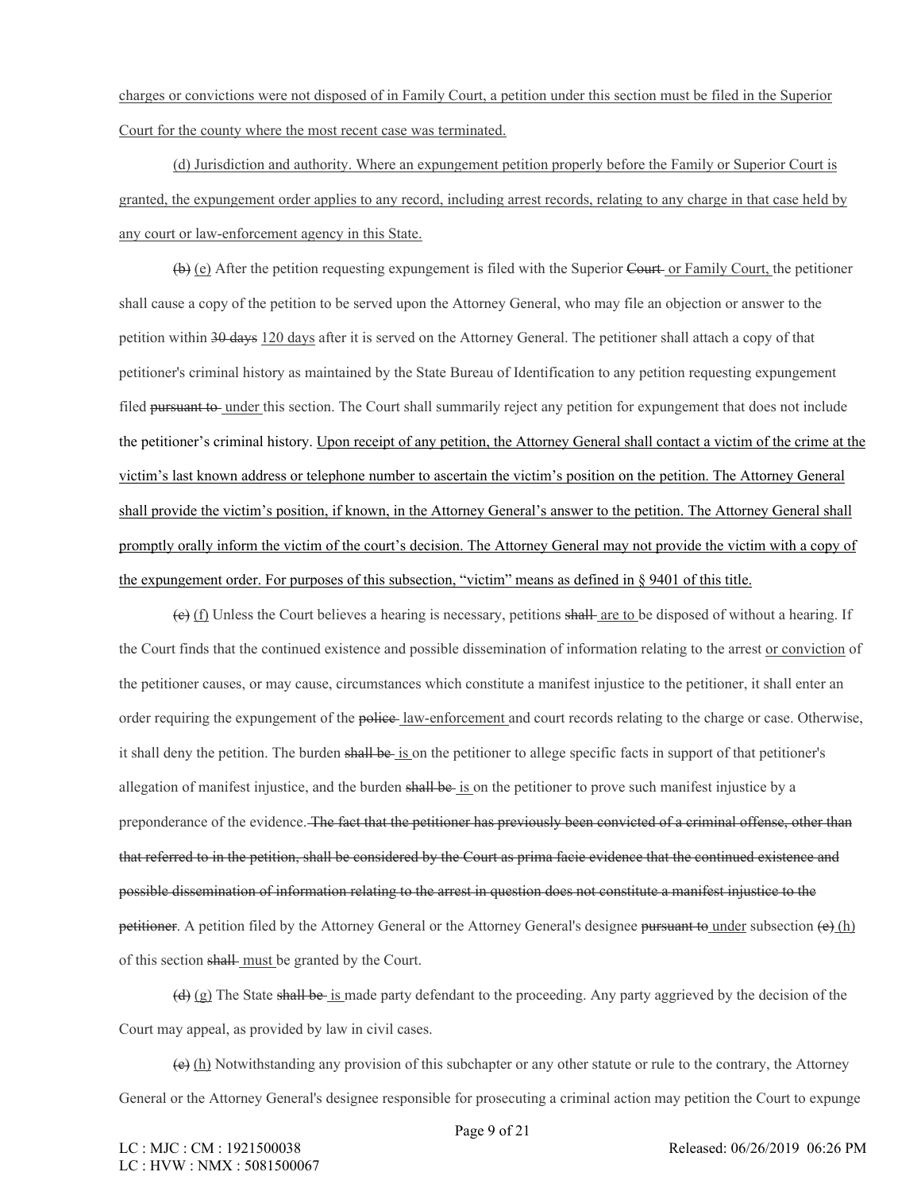charges or convictions were not disposed of in Family Court, a petition under this section must be filed in the Superior Court for the county where the most recent case was terminated.

(d) Jurisdiction and authority. Where an expungement petition properly before the Family or Superior Court is granted, the expungement order applies to any record, including arrest records, relating to any charge in that case held by any court or law-enforcement agency in this State.

 $(\theta)$  (e) After the petition requesting expungement is filed with the Superior Court or Family Court, the petitioner shall cause a copy of the petition to be served upon the Attorney General, who may file an objection or answer to the petition within 30 days 120 days after it is served on the Attorney General. The petitioner shall attach a copy of that petitioner's criminal history as maintained by the State Bureau of Identification to any petition requesting expungement filed pursuant to under this section. The Court shall summarily reject any petition for expungement that does not include the petitioner's criminal history. Upon receipt of any petition, the Attorney General shall contact a victim of the crime at the victim's last known address or telephone number to ascertain the victim's position on the petition. The Attorney General shall provide the victim's position, if known, in the Attorney General's answer to the petition. The Attorney General shall promptly orally inform the victim of the court's decision. The Attorney General may not provide the victim with a copy of the expungement order. For purposes of this subsection, "victim" means as defined in § 9401 of this title.

 $(e)$  (f) Unless the Court believes a hearing is necessary, petitions shall are to be disposed of without a hearing. If the Court finds that the continued existence and possible dissemination of information relating to the arrest or conviction of the petitioner causes, or may cause, circumstances which constitute a manifest injustice to the petitioner, it shall enter an order requiring the expungement of the police law-enforcement and court records relating to the charge or case. Otherwise, it shall deny the petition. The burden shall be is on the petitioner to allege specific facts in support of that petitioner's allegation of manifest injustice, and the burden shall be is on the petitioner to prove such manifest injustice by a preponderance of the evidence. The fact that the petitioner has previously been convicted of a criminal offense, other than that referred to in the petition, shall be considered by the Court as prima facie evidence that the continued existence and possible dissemination of information relating to the arrest in question does not constitute a manifest injustice to the petitioner. A petition filed by the Attorney General or the Attorney General's designee pursuant to under subsection  $(e)$  (h) of this section shall must be granted by the Court.

(d) (g) The State shall be is made party defendant to the proceeding. Any party aggrieved by the decision of the Court may appeal, as provided by law in civil cases.

(e) (h) Notwithstanding any provision of this subchapter or any other statute or rule to the contrary, the Attorney General or the Attorney General's designee responsible for prosecuting a criminal action may petition the Court to expunge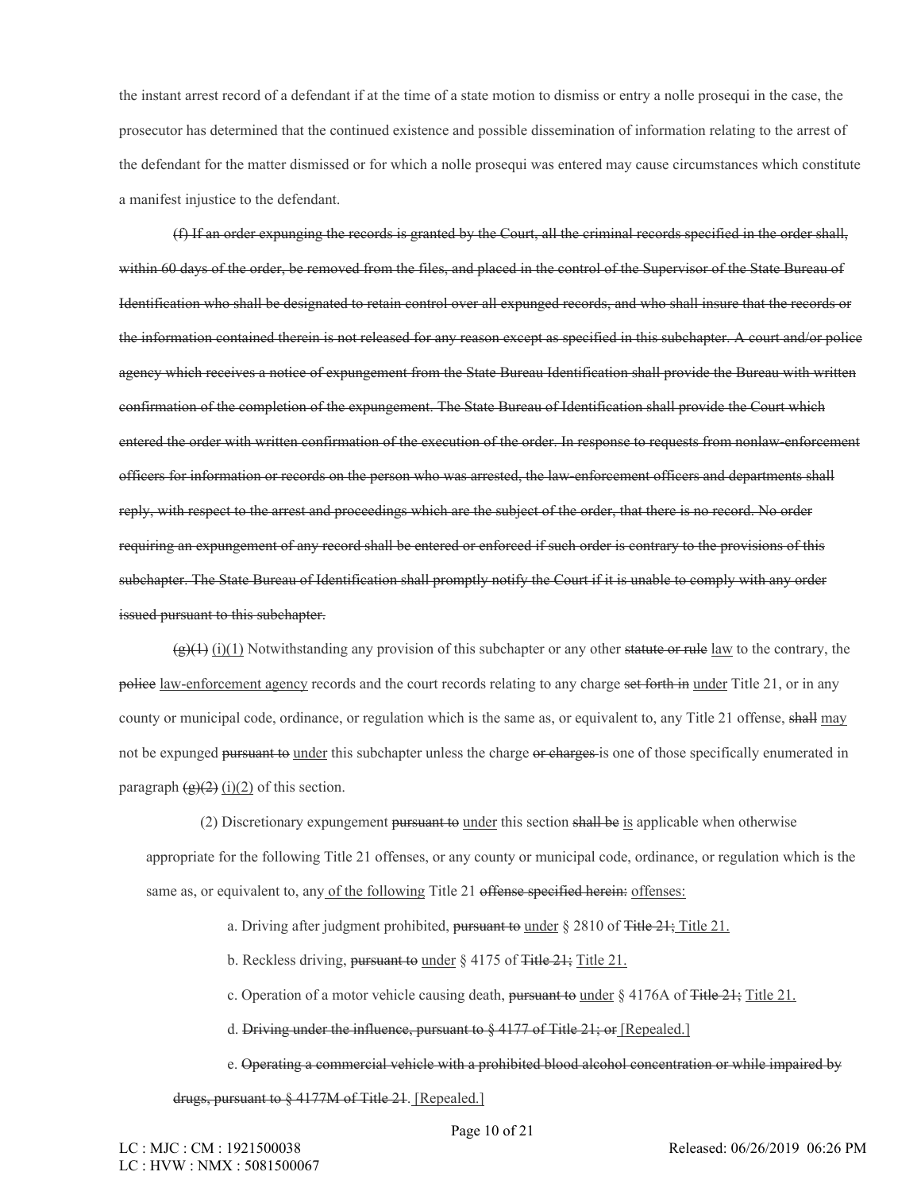the instant arrest record of a defendant if at the time of a state motion to dismiss or entry a nolle prosequi in the case, the prosecutor has determined that the continued existence and possible dissemination of information relating to the arrest of the defendant for the matter dismissed or for which a nolle prosequi was entered may cause circumstances which constitute a manifest injustice to the defendant.

(f) If an order expunging the records is granted by the Court, all the criminal records specified in the order shall, within 60 days of the order, be removed from the files, and placed in the control of the Supervisor of the State Bureau of Identification who shall be designated to retain control over all expunged records, and who shall insure that the records or the information contained therein is not released for any reason except as specified in this subchapter. A court and/or police agency which receives a notice of expungement from the State Bureau Identification shall provide the Bureau with written confirmation of the completion of the expungement. The State Bureau of Identification shall provide the Court which entered the order with written confirmation of the execution of the order. In response to requests from nonlaw-enforcement officers for information or records on the person who was arrested, the law-enforcement officers and departments shall reply, with respect to the arrest and proceedings which are the subject of the order, that there is no record. No order requiring an expungement of any record shall be entered or enforced if such order is contrary to the provisions of this subchapter. The State Bureau of Identification shall promptly notify the Court if it is unable to comply with any order issued pursuant to this subchapter.

 $(g)(1)$  (i)(1) Notwithstanding any provision of this subchapter or any other statute or rule law to the contrary, the police <u>law-enforcement agency</u> records and the court records relating to any charge set forth in under Title 21, or in any county or municipal code, ordinance, or regulation which is the same as, or equivalent to, any Title 21 offense, shall may not be expunged pursuant to under this subchapter unless the charge or charges is one of those specifically enumerated in paragraph  $\left(\frac{g}{2}\right)(2)$  (i)(2) of this section.

(2) Discretionary expungement pursuant to under this section shall be is applicable when otherwise appropriate for the following Title 21 offenses, or any county or municipal code, ordinance, or regulation which is the same as, or equivalent to, any of the following Title 21 offense specified herein: offenses:

a. Driving after judgment prohibited, pursuant to under § 2810 of Title 21; Title 21.

b. Reckless driving, pursuant to under § 4175 of Title 21; Title 21.

c. Operation of a motor vehicle causing death, pursuant to under  $\S 4176A$  of Title 21; Title 21.

d. Driving under the influence, pursuant to § 4177 of Title 21; or [Repealed.]

e. Operating a commercial vehicle with a prohibited blood alcohol concentration or while impaired by

drugs, pursuant to § 4177M of Title 21. [Repealed.]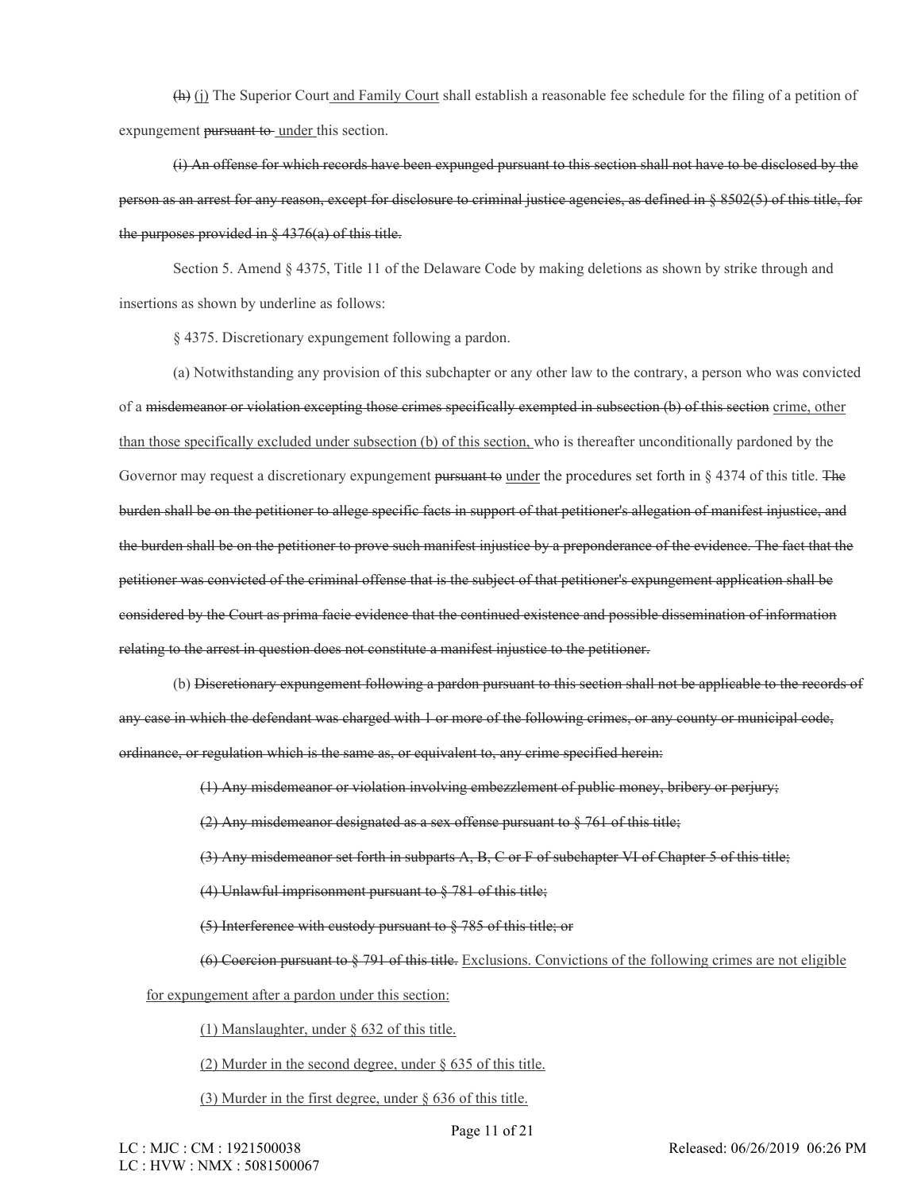(h) (j) The Superior Court and Family Court shall establish a reasonable fee schedule for the filing of a petition of expungement pursuant to under this section.

(i) An offense for which records have been expunged pursuant to this section shall not have to be disclosed by the person as an arrest for any reason, except for disclosure to criminal justice agencies, as defined in § 8502(5) of this title, for the purposes provided in  $\S$  4376(a) of this title.

Section 5. Amend § 4375, Title 11 of the Delaware Code by making deletions as shown by strike through and insertions as shown by underline as follows:

§ 4375. Discretionary expungement following a pardon.

(a) Notwithstanding any provision of this subchapter or any other law to the contrary, a person who was convicted of a misdemeanor or violation excepting those crimes specifically exempted in subsection (b) of this section crime, other than those specifically excluded under subsection (b) of this section, who is thereafter unconditionally pardoned by the Governor may request a discretionary expungement pursuant to under the procedures set forth in § 4374 of this title. The burden shall be on the petitioner to allege specific facts in support of that petitioner's allegation of manifest injustice, and the burden shall be on the petitioner to prove such manifest injustice by a preponderance of the evidence. The fact that the petitioner was convicted of the criminal offense that is the subject of that petitioner's expungement application shall be considered by the Court as prima facie evidence that the continued existence and possible dissemination of information relating to the arrest in question does not constitute a manifest injustice to the petitioner.

(b) Discretionary expungement following a pardon pursuant to this section shall not be applicable to the records of any case in which the defendant was charged with 1 or more of the following crimes, or any county or municipal code, ordinance, or regulation which is the same as, or equivalent to, any crime specified herein:

(1) Any misdemeanor or violation involving embezzlement of public money, bribery or perjury;

(2) Any misdemeanor designated as a sex offense pursuant to  $\S$  761 of this title;

(3) Any misdemeanor set forth in subparts A, B, C or F of subchapter VI of Chapter 5 of this title;

(4) Unlawful imprisonment pursuant to § 781 of this title;

(5) Interference with custody pursuant to § 785 of this title; or

(6) Coercion pursuant to § 791 of this title. Exclusions. Convictions of the following crimes are not eligible

for expungement after a pardon under this section:

(1) Manslaughter, under § 632 of this title.

(2) Murder in the second degree, under § 635 of this title.

(3) Murder in the first degree, under § 636 of this title.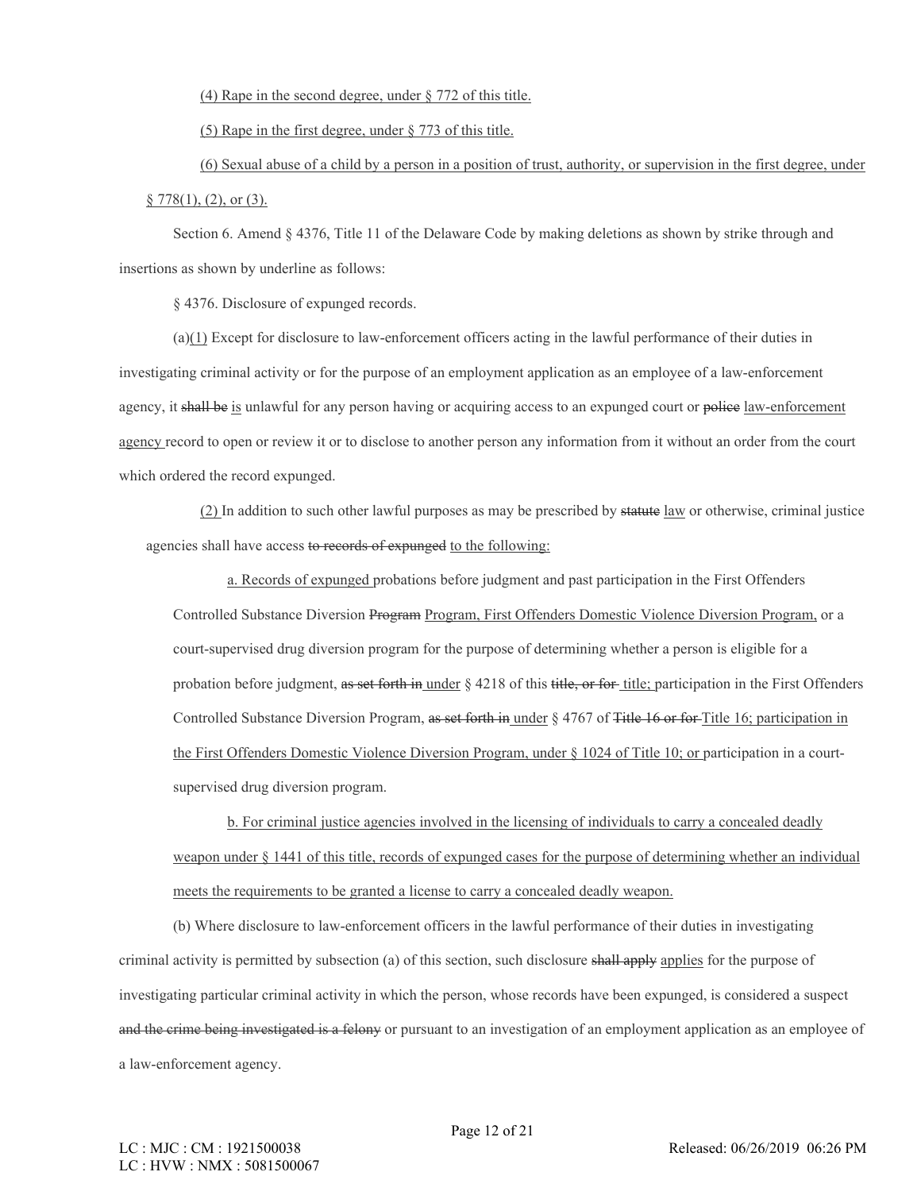(4) Rape in the second degree, under § 772 of this title.

(5) Rape in the first degree, under § 773 of this title.

(6) Sexual abuse of a child by a person in a position of trust, authority, or supervision in the first degree, under  $§ 778(1), (2),$  or  $(3).$ 

Section 6. Amend § 4376, Title 11 of the Delaware Code by making deletions as shown by strike through and insertions as shown by underline as follows:

§ 4376. Disclosure of expunged records.

(a)(1) Except for disclosure to law-enforcement officers acting in the lawful performance of their duties in investigating criminal activity or for the purpose of an employment application as an employee of a law-enforcement agency, it shall be is unlawful for any person having or acquiring access to an expunged court or police law-enforcement agency record to open or review it or to disclose to another person any information from it without an order from the court which ordered the record expunged.

(2) In addition to such other lawful purposes as may be prescribed by statute law or otherwise, criminal justice agencies shall have access to records of expunged to the following:

a. Records of expunged probations before judgment and past participation in the First Offenders Controlled Substance Diversion Program Program, First Offenders Domestic Violence Diversion Program, or a court-supervised drug diversion program for the purpose of determining whether a person is eligible for a probation before judgment, as set forth in under  $\S$  4218 of this title, or for title; participation in the First Offenders Controlled Substance Diversion Program, as set forth in under § 4767 of Title 16 or for Title 16; participation in the First Offenders Domestic Violence Diversion Program, under § 1024 of Title 10; or participation in a courtsupervised drug diversion program.

b. For criminal justice agencies involved in the licensing of individuals to carry a concealed deadly weapon under § 1441 of this title, records of expunged cases for the purpose of determining whether an individual meets the requirements to be granted a license to carry a concealed deadly weapon.

(b) Where disclosure to law-enforcement officers in the lawful performance of their duties in investigating criminal activity is permitted by subsection (a) of this section, such disclosure shall apply applies for the purpose of investigating particular criminal activity in which the person, whose records have been expunged, is considered a suspect and the crime being investigated is a felony or pursuant to an investigation of an employment application as an employee of a law-enforcement agency.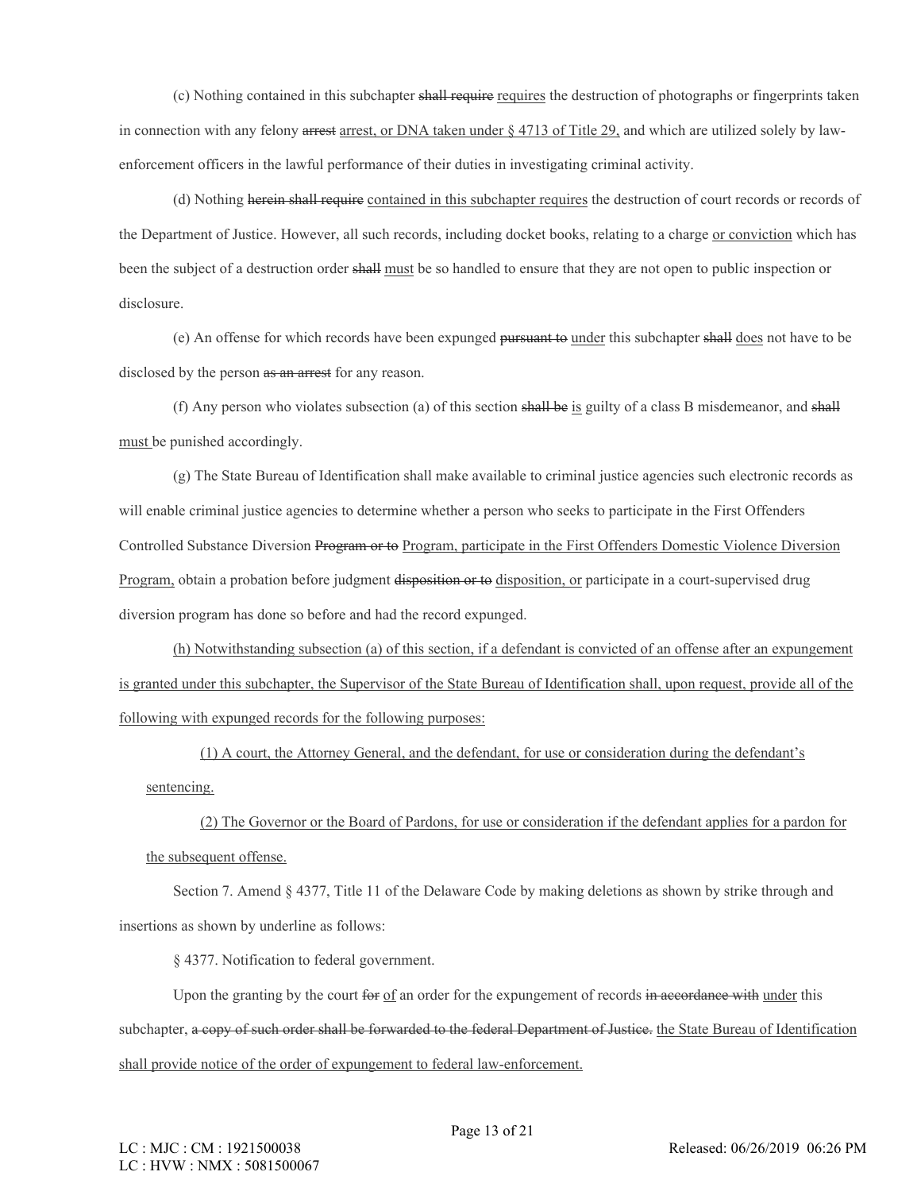(c) Nothing contained in this subchapter shall require requires the destruction of photographs or fingerprints taken in connection with any felony arrest arrest, or DNA taken under § 4713 of Title 29, and which are utilized solely by lawenforcement officers in the lawful performance of their duties in investigating criminal activity.

(d) Nothing herein shall require contained in this subchapter requires the destruction of court records or records of the Department of Justice. However, all such records, including docket books, relating to a charge or conviction which has been the subject of a destruction order shall must be so handled to ensure that they are not open to public inspection or disclosure.

(e) An offense for which records have been expunged pursuant to under this subchapter shall does not have to be disclosed by the person as an arrest for any reason.

(f) Any person who violates subsection (a) of this section shall be is guilty of a class B misdemeanor, and shall must be punished accordingly.

(g) The State Bureau of Identification shall make available to criminal justice agencies such electronic records as will enable criminal justice agencies to determine whether a person who seeks to participate in the First Offenders Controlled Substance Diversion Program or to Program, participate in the First Offenders Domestic Violence Diversion Program, obtain a probation before judgment disposition or to disposition, or participate in a court-supervised drug diversion program has done so before and had the record expunged.

(h) Notwithstanding subsection (a) of this section, if a defendant is convicted of an offense after an expungement is granted under this subchapter, the Supervisor of the State Bureau of Identification shall, upon request, provide all of the following with expunged records for the following purposes:

(1) A court, the Attorney General, and the defendant, for use or consideration during the defendant's sentencing.

(2) The Governor or the Board of Pardons, for use or consideration if the defendant applies for a pardon for the subsequent offense.

Section 7. Amend § 4377, Title 11 of the Delaware Code by making deletions as shown by strike through and insertions as shown by underline as follows:

§ 4377. Notification to federal government.

Upon the granting by the court for of an order for the expungement of records in accordance with under this subchapter, a copy of such order shall be forwarded to the federal Department of Justice. the State Bureau of Identification shall provide notice of the order of expungement to federal law-enforcement.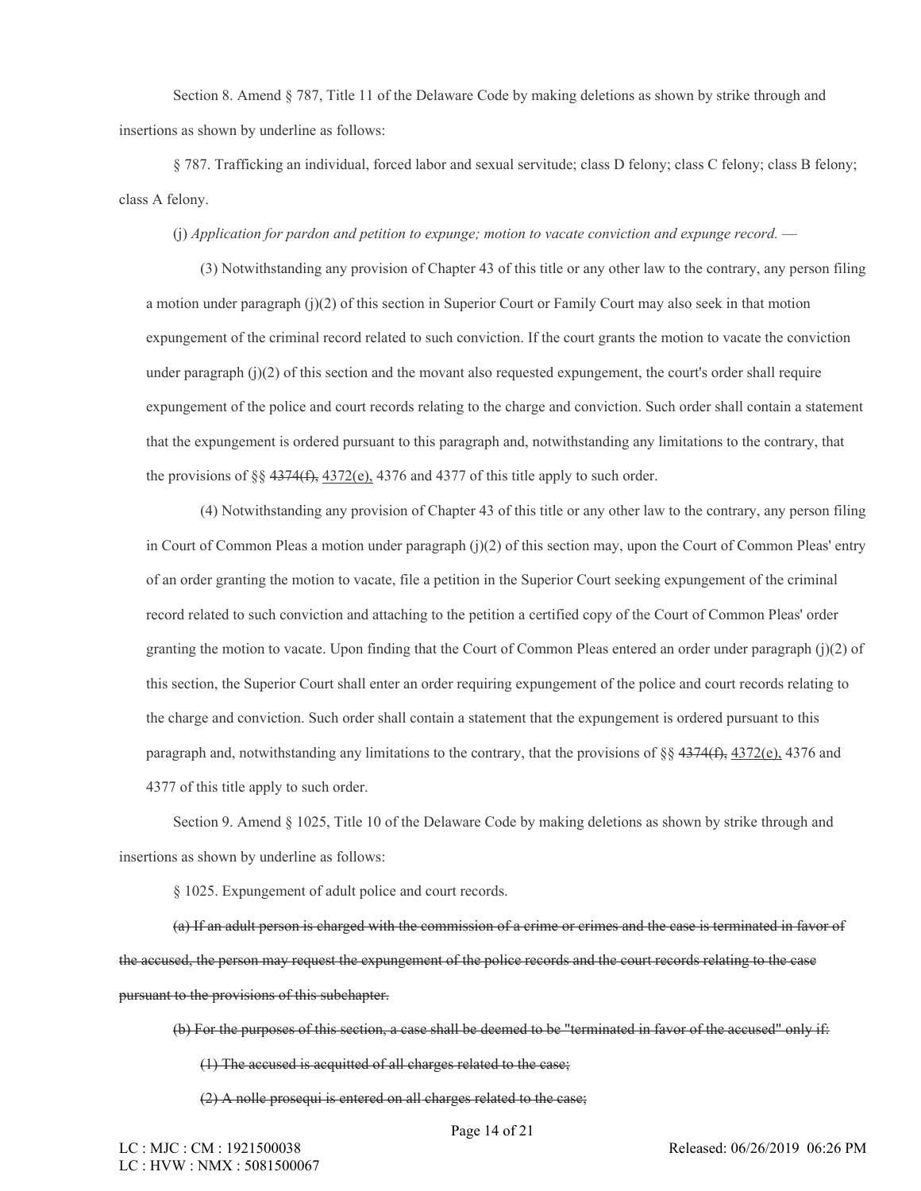Section 8. Amend § 787, Title 11 of the Delaware Code by making deletions as shown by strike through and insertions as shown by underline as follows:

§ 787. Trafficking an individual, forced labor and sexual servitude; class D felony; class C felony; class B felony; class A felony.

(j) *Application for pardon and petition to expunge; motion to vacate conviction and expunge record.* —

(3) Notwithstanding any provision of Chapter 43 of this title or any other law to the contrary, any person filing a motion under paragraph (j)(2) of this section in Superior Court or Family Court may also seek in that motion expungement of the criminal record related to such conviction. If the court grants the motion to vacate the conviction under paragraph  $(j)(2)$  of this section and the movant also requested expungement, the court's order shall require expungement of the police and court records relating to the charge and conviction. Such order shall contain a statement that the expungement is ordered pursuant to this paragraph and, notwithstanding any limitations to the contrary, that the provisions of §§  $4374(f)$ ,  $4372(e)$ ,  $4376$  and  $4377$  of this title apply to such order.

(4) Notwithstanding any provision of Chapter 43 of this title or any other law to the contrary, any person filing in Court of Common Pleas a motion under paragraph (j)(2) of this section may, upon the Court of Common Pleas' entry of an order granting the motion to vacate, file a petition in the Superior Court seeking expungement of the criminal record related to such conviction and attaching to the petition a certified copy of the Court of Common Pleas' order granting the motion to vacate. Upon finding that the Court of Common Pleas entered an order under paragraph  $(i)(2)$  of this section, the Superior Court shall enter an order requiring expungement of the police and court records relating to the charge and conviction. Such order shall contain a statement that the expungement is ordered pursuant to this paragraph and, notwithstanding any limitations to the contrary, that the provisions of §§  $4374(f)$ ,  $4372(e)$ ,  $4376$  and 4377 of this title apply to such order.

Section 9. Amend § 1025, Title 10 of the Delaware Code by making deletions as shown by strike through and insertions as shown by underline as follows:

§ 1025. Expungement of adult police and court records.

(a) If an adult person is charged with the commission of a crime or crimes and the case is terminated in favor of the accused, the person may request the expungement of the police records and the court records relating to the case pursuant to the provisions of this subchapter.

(b) For the purposes of this section, a case shall be deemed to be "terminated in favor of the accused" only if:

(1) The accused is acquitted of all charges related to the case;

(2) A nolle prosequi is entered on all charges related to the case;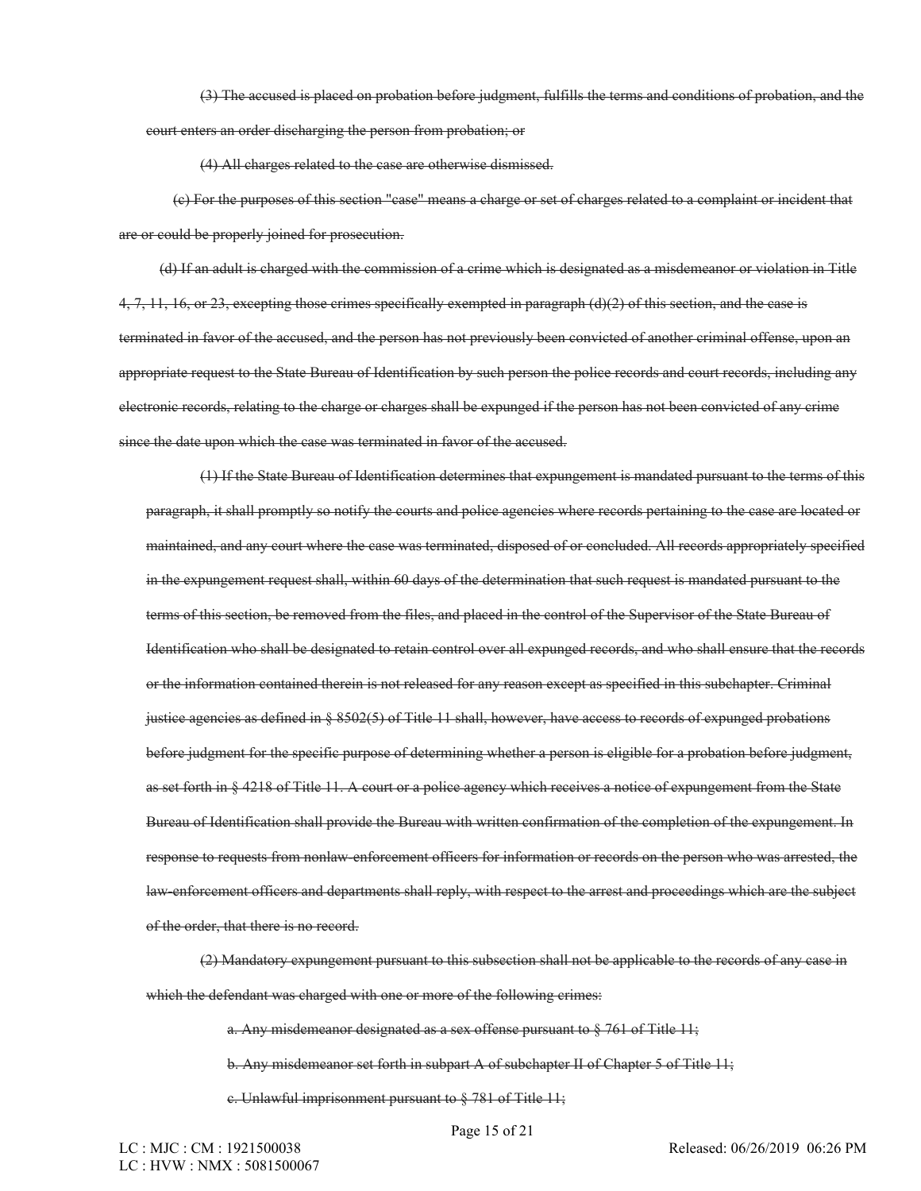(3) The accused is placed on probation before judgment, fulfills the terms and conditions of probation, and the court enters an order discharging the person from probation; or

(4) All charges related to the case are otherwise dismissed.

(c) For the purposes of this section "case" means a charge or set of charges related to a complaint or incident that are or could be properly joined for prosecution.

(d) If an adult is charged with the commission of a crime which is designated as a misdemeanor or violation in Title  $4, 7, 11, 16,$  or 23, excepting those crimes specifically exempted in paragraph (d)(2) of this section, and the case is terminated in favor of the accused, and the person has not previously been convicted of another criminal offense, upon an appropriate request to the State Bureau of Identification by such person the police records and court records, including any electronic records, relating to the charge or charges shall be expunged if the person has not been convicted of any crime since the date upon which the case was terminated in favor of the accused.

(1) If the State Bureau of Identification determines that expungement is mandated pursuant to the terms of this paragraph, it shall promptly so notify the courts and police agencies where records pertaining to the case are located or maintained, and any court where the case was terminated, disposed of or concluded. All records appropriately specified in the expungement request shall, within 60 days of the determination that such request is mandated pursuant to the terms of this section, be removed from the files, and placed in the control of the Supervisor of the State Bureau of Identification who shall be designated to retain control over all expunged records, and who shall ensure that the records or the information contained therein is not released for any reason except as specified in this subchapter. Criminal justice agencies as defined in § 8502(5) of Title 11 shall, however, have access to records of expunged probations before judgment for the specific purpose of determining whether a person is eligible for a probation before judgment, as set forth in § 4218 of Title 11. A court or a police agency which receives a notice of expungement from the State Bureau of Identification shall provide the Bureau with written confirmation of the completion of the expungement. In response to requests from nonlaw-enforcement officers for information or records on the person who was arrested, the law-enforcement officers and departments shall reply, with respect to the arrest and proceedings which are the subject of the order, that there is no record.

(2) Mandatory expungement pursuant to this subsection shall not be applicable to the records of any case in which the defendant was charged with one or more of the following crimes:

a. Any misdemeanor designated as a sex offense pursuant to § 761 of Title 11;

b. Any misdemeanor set forth in subpart A of subchapter II of Chapter 5 of Title 11;

c. Unlawful imprisonment pursuant to § 781 of Title 11;

Page 15 of 21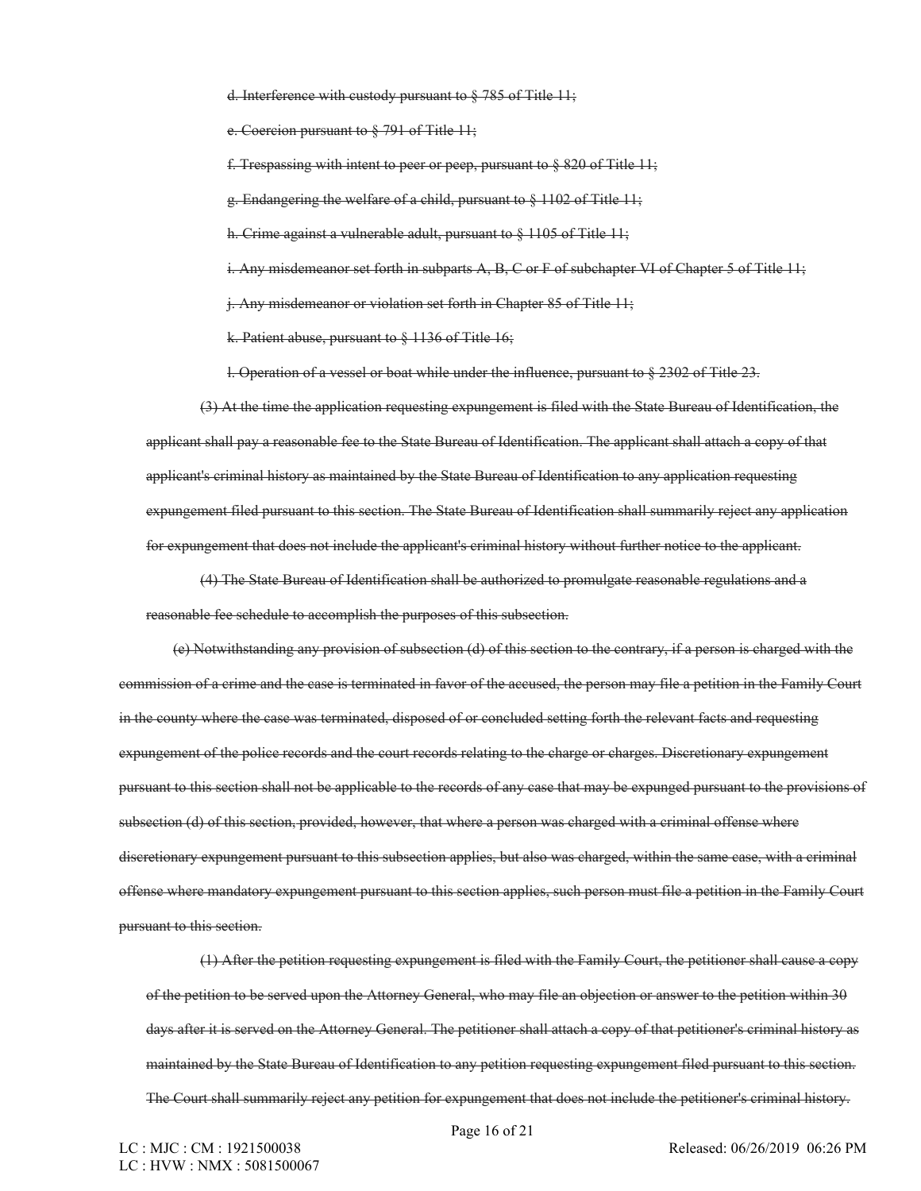d. Interference with custody pursuant to § 785 of Title 11;

e. Coercion pursuant to § 791 of Title 11;

f. Trespassing with intent to peer or peep, pursuant to  $\S 820$  of Title 11;

g. Endangering the welfare of a child, pursuant to § 1102 of Title 11;

h. Crime against a vulnerable adult, pursuant to § 1105 of Title 11;

i. Any misdemeanor set forth in subparts A, B, C or F of subchapter VI of Chapter 5 of Title 11;

j. Any misdemeanor or violation set forth in Chapter 85 of Title 11;

k. Patient abuse, pursuant to § 1136 of Title 16;

l. Operation of a vessel or boat while under the influence, pursuant to § 2302 of Title 23.

(3) At the time the application requesting expungement is filed with the State Bureau of Identification, the applicant shall pay a reasonable fee to the State Bureau of Identification. The applicant shall attach a copy of that applicant's criminal history as maintained by the State Bureau of Identification to any application requesting expungement filed pursuant to this section. The State Bureau of Identification shall summarily reject any application for expungement that does not include the applicant's criminal history without further notice to the applicant.

(4) The State Bureau of Identification shall be authorized to promulgate reasonable regulations and a reasonable fee schedule to accomplish the purposes of this subsection.

(e) Notwithstanding any provision of subsection (d) of this section to the contrary, if a person is charged with the commission of a crime and the case is terminated in favor of the accused, the person may file a petition in the Family Court in the county where the case was terminated, disposed of or concluded setting forth the relevant facts and requesting expungement of the police records and the court records relating to the charge or charges. Discretionary expungement pursuant to this section shall not be applicable to the records of any case that may be expunged pursuant to the provisions of subsection (d) of this section, provided, however, that where a person was charged with a criminal offense where discretionary expungement pursuant to this subsection applies, but also was charged, within the same case, with a criminal offense where mandatory expungement pursuant to this section applies, such person must file a petition in the Family Court pursuant to this section.

(1) After the petition requesting expungement is filed with the Family Court, the petitioner shall cause a copy of the petition to be served upon the Attorney General, who may file an objection or answer to the petition within 30 days after it is served on the Attorney General. The petitioner shall attach a copy of that petitioner's criminal history as maintained by the State Bureau of Identification to any petition requesting expungement filed pursuant to this section. The Court shall summarily reject any petition for expungement that does not include the petitioner's criminal history.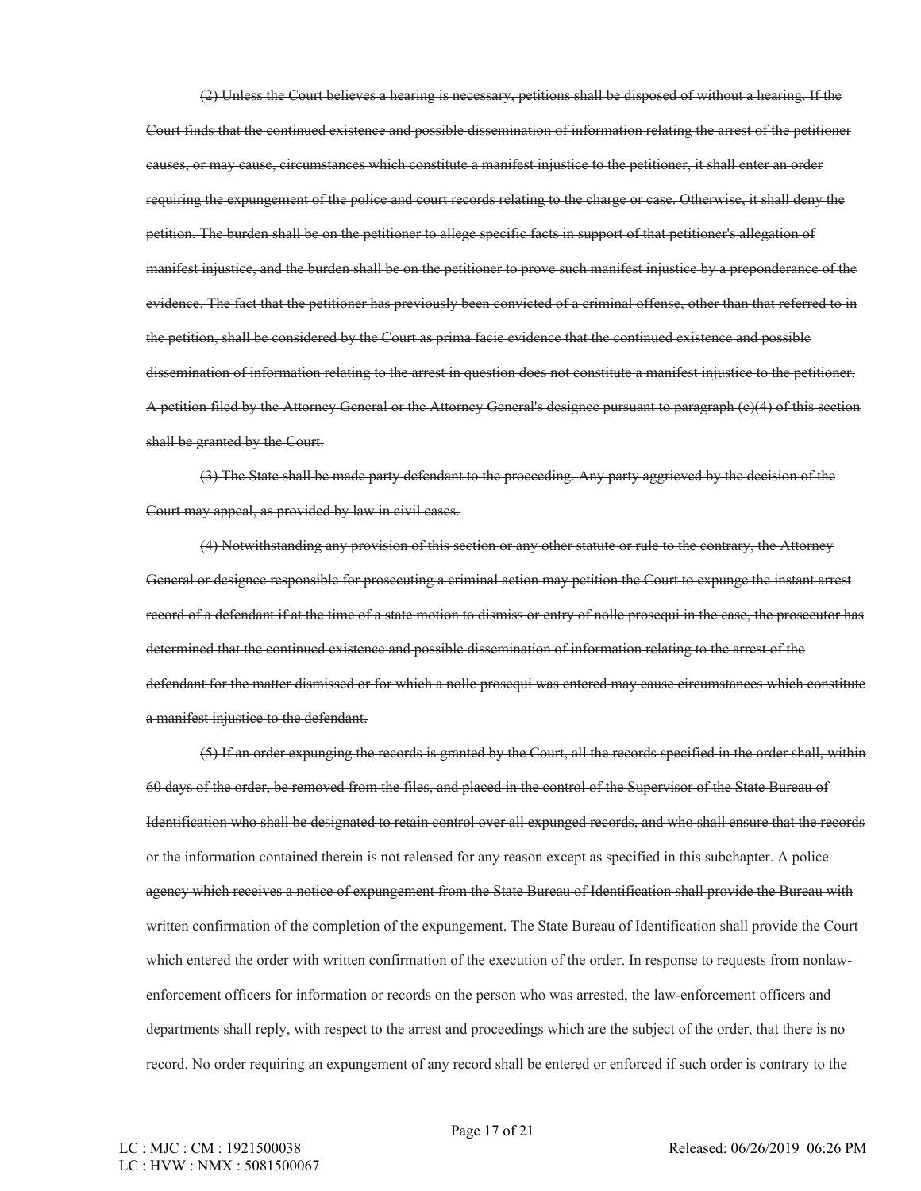(2) Unless the Court believes a hearing is necessary, petitions shall be disposed of without a hearing. If the Court finds that the continued existence and possible dissemination of information relating the arrest of the petitioner causes, or may cause, circumstances which constitute a manifest injustice to the petitioner, it shall enter an order requiring the expungement of the police and court records relating to the charge or case. Otherwise, it shall deny the petition. The burden shall be on the petitioner to allege specific facts in support of that petitioner's allegation of manifest injustice, and the burden shall be on the petitioner to prove such manifest injustice by a preponderance of the evidence. The fact that the petitioner has previously been convicted of a criminal offense, other than that referred to in the petition, shall be considered by the Court as prima facie evidence that the continued existence and possible dissemination of information relating to the arrest in question does not constitute a manifest injustice to the petitioner. A petition filed by the Attorney General or the Attorney General's designee pursuant to paragraph (e)(4) of this section shall be granted by the Court.

(3) The State shall be made party defendant to the proceeding. Any party aggrieved by the decision of the Court may appeal, as provided by law in civil cases.

(4) Notwithstanding any provision of this section or any other statute or rule to the contrary, the Attorney General or designee responsible for prosecuting a criminal action may petition the Court to expunge the instant arrest record of a defendant if at the time of a state motion to dismiss or entry of nolle prosequi in the case, the prosecutor has determined that the continued existence and possible dissemination of information relating to the arrest of the defendant for the matter dismissed or for which a nolle prosequi was entered may cause circumstances which constitute a manifest injustice to the defendant.

(5) If an order expunging the records is granted by the Court, all the records specified in the order shall, within 60 days of the order, be removed from the files, and placed in the control of the Supervisor of the State Bureau of Identification who shall be designated to retain control over all expunged records, and who shall ensure that the records or the information contained therein is not released for any reason except as specified in this subchapter. A police agency which receives a notice of expungement from the State Bureau of Identification shall provide the Bureau with written confirmation of the completion of the expungement. The State Bureau of Identification shall provide the Court which entered the order with written confirmation of the execution of the order. In response to requests from nonlawenforcement officers for information or records on the person who was arrested, the law-enforcement officers and departments shall reply, with respect to the arrest and proceedings which are the subject of the order, that there is no record. No order requiring an expungement of any record shall be entered or enforced if such order is contrary to the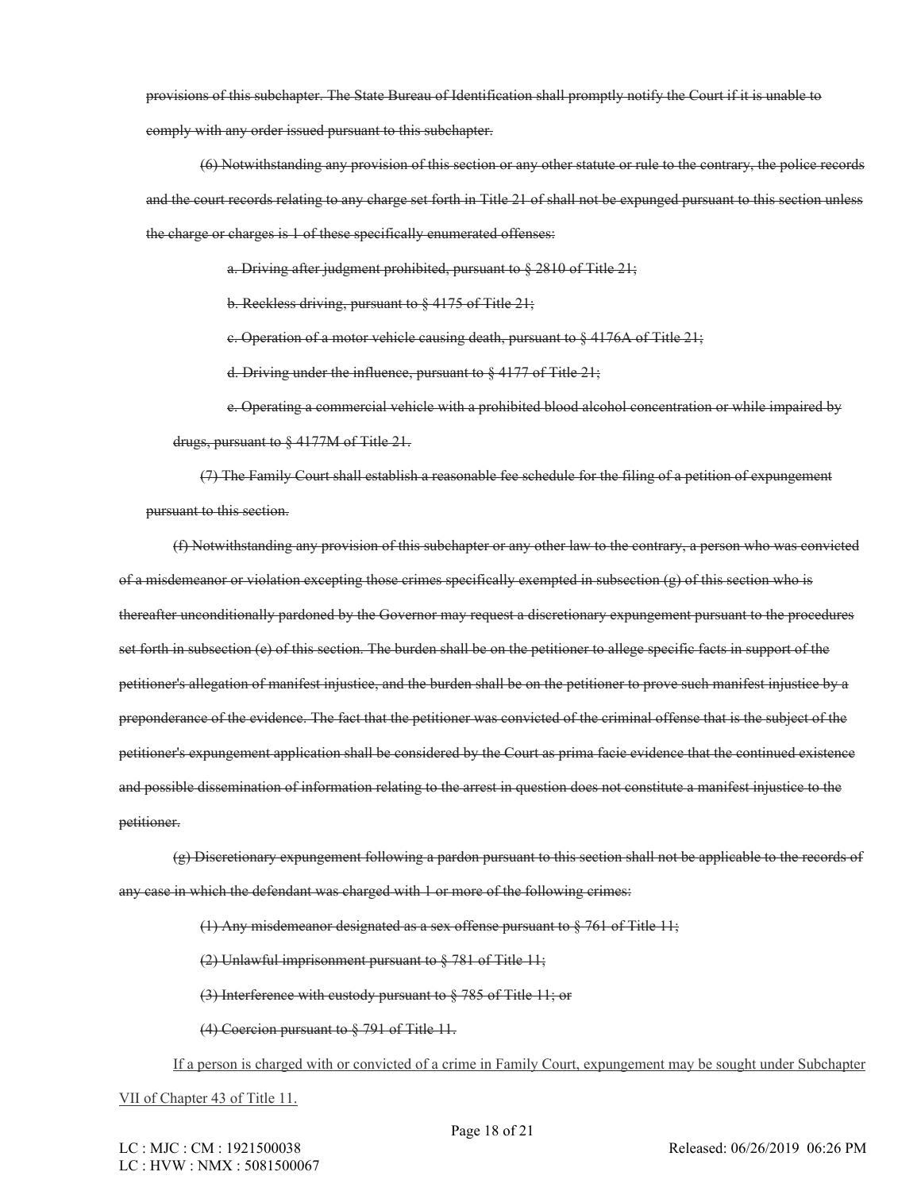provisions of this subchapter. The State Bureau of Identification shall promptly notify the Court if it is unable to comply with any order issued pursuant to this subchapter.

(6) Notwithstanding any provision of this section or any other statute or rule to the contrary, the police records and the court records relating to any charge set forth in Title 21 of shall not be expunged pursuant to this section unless the charge or charges is 1 of these specifically enumerated offenses:

a. Driving after judgment prohibited, pursuant to § 2810 of Title 21;

b. Reckless driving, pursuant to § 4175 of Title 21;

c. Operation of a motor vehicle causing death, pursuant to § 4176A of Title 21;

d. Driving under the influence, pursuant to § 4177 of Title 21;

e. Operating a commercial vehicle with a prohibited blood alcohol concentration or while impaired by drugs, pursuant to § 4177M of Title 21.

(7) The Family Court shall establish a reasonable fee schedule for the filing of a petition of expungement pursuant to this section.

(f) Notwithstanding any provision of this subchapter or any other law to the contrary, a person who was convicted of a misdemeanor or violation excepting those crimes specifically exempted in subsection  $(g)$  of this section who is thereafter unconditionally pardoned by the Governor may request a discretionary expungement pursuant to the procedures set forth in subsection (e) of this section. The burden shall be on the petitioner to allege specific facts in support of the petitioner's allegation of manifest injustice, and the burden shall be on the petitioner to prove such manifest injustice by a preponderance of the evidence. The fact that the petitioner was convicted of the criminal offense that is the subject of the petitioner's expungement application shall be considered by the Court as prima facie evidence that the continued existence and possible dissemination of information relating to the arrest in question does not constitute a manifest injustice to the petitioner.

(g) Discretionary expungement following a pardon pursuant to this section shall not be applicable to the records of any case in which the defendant was charged with 1 or more of the following crimes:

(1) Any misdemeanor designated as a sex offense pursuant to § 761 of Title 11;

(2) Unlawful imprisonment pursuant to § 781 of Title 11;

(3) Interference with custody pursuant to § 785 of Title 11; or

(4) Coercion pursuant to § 791 of Title 11.

If a person is charged with or convicted of a crime in Family Court, expungement may be sought under Subchapter

VII of Chapter 43 of Title 11.

LC : MJC : CM : 1921500038 LC : HVW : NMX : 5081500067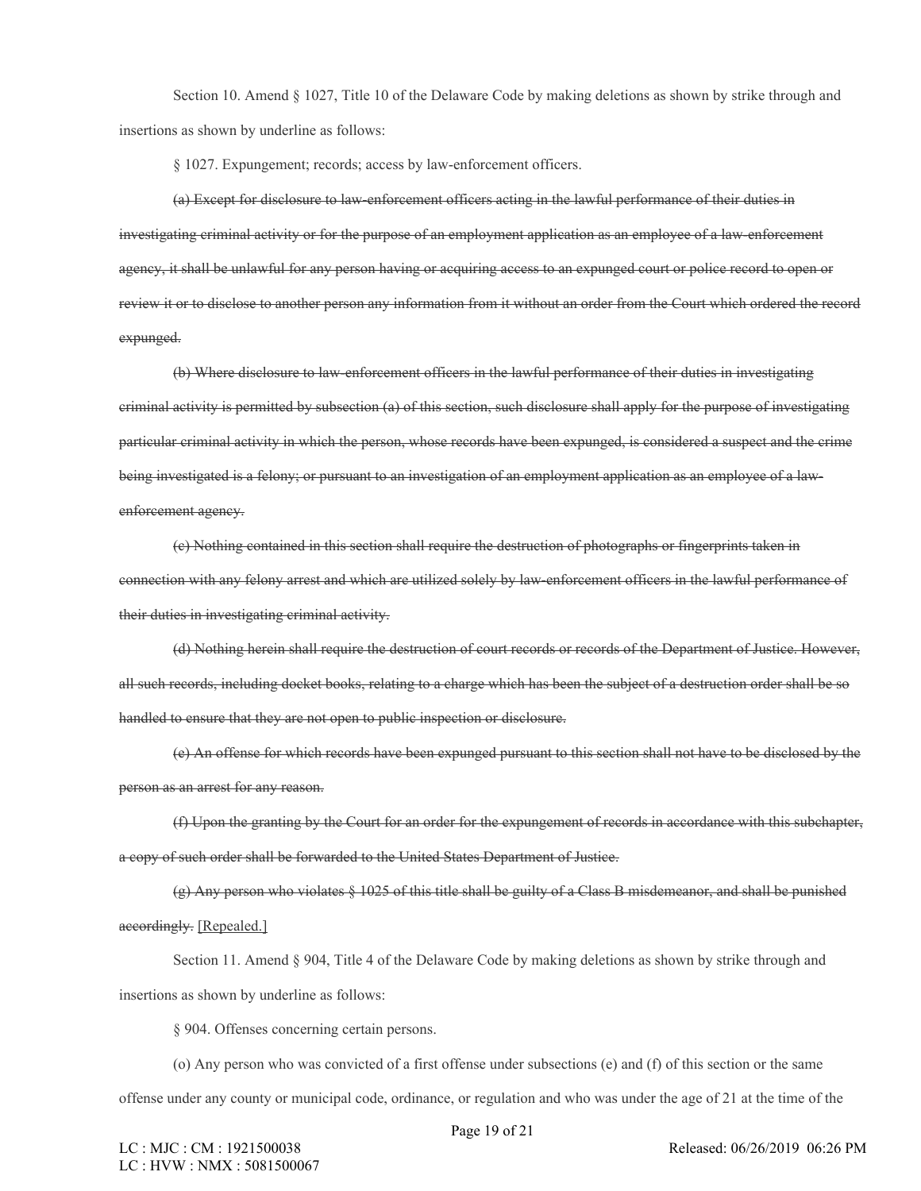Section 10. Amend § 1027, Title 10 of the Delaware Code by making deletions as shown by strike through and insertions as shown by underline as follows:

§ 1027. Expungement; records; access by law-enforcement officers.

(a) Except for disclosure to law-enforcement officers acting in the lawful performance of their duties in investigating criminal activity or for the purpose of an employment application as an employee of a law-enforcement agency, it shall be unlawful for any person having or acquiring access to an expunged court or police record to open or review it or to disclose to another person any information from it without an order from the Court which ordered the record expunged.

(b) Where disclosure to law-enforcement officers in the lawful performance of their duties in investigating criminal activity is permitted by subsection (a) of this section, such disclosure shall apply for the purpose of investigating particular criminal activity in which the person, whose records have been expunged, is considered a suspect and the crime being investigated is a felony; or pursuant to an investigation of an employment application as an employee of a lawenforcement agency.

(c) Nothing contained in this section shall require the destruction of photographs or fingerprints taken in connection with any felony arrest and which are utilized solely by law-enforcement officers in the lawful performance of their duties in investigating criminal activity.

(d) Nothing herein shall require the destruction of court records or records of the Department of Justice. However, all such records, including docket books, relating to a charge which has been the subject of a destruction order shall be so handled to ensure that they are not open to public inspection or disclosure.

(e) An offense for which records have been expunged pursuant to this section shall not have to be disclosed by the person as an arrest for any reason.

(f) Upon the granting by the Court for an order for the expungement of records in accordance with this subchapter, a copy of such order shall be forwarded to the United States Department of Justice.

(g) Any person who violates § 1025 of this title shall be guilty of a Class B misdemeanor, and shall be punished accordingly. [Repealed.]

Section 11. Amend § 904, Title 4 of the Delaware Code by making deletions as shown by strike through and insertions as shown by underline as follows:

§ 904. Offenses concerning certain persons.

(o) Any person who was convicted of a first offense under subsections (e) and (f) of this section or the same

offense under any county or municipal code, ordinance, or regulation and who was under the age of 21 at the time of the

Page 19 of 21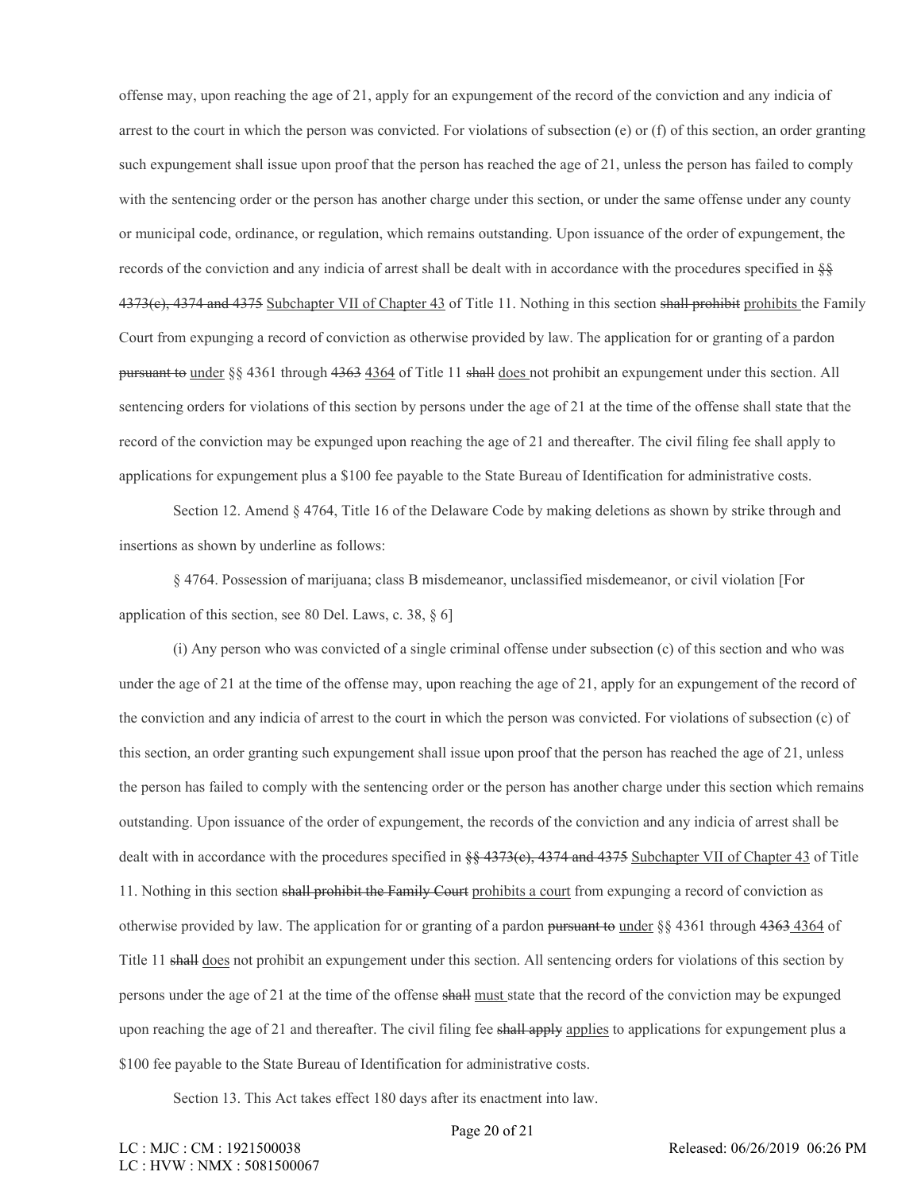offense may, upon reaching the age of 21, apply for an expungement of the record of the conviction and any indicia of arrest to the court in which the person was convicted. For violations of subsection (e) or (f) of this section, an order granting such expungement shall issue upon proof that the person has reached the age of 21, unless the person has failed to comply with the sentencing order or the person has another charge under this section, or under the same offense under any county or municipal code, ordinance, or regulation, which remains outstanding. Upon issuance of the order of expungement, the records of the conviction and any indicia of arrest shall be dealt with in accordance with the procedures specified in §§ 4373(e), 4374 and 4375 Subchapter VII of Chapter 43 of Title 11. Nothing in this section shall prohibit prohibits the Family Court from expunging a record of conviction as otherwise provided by law. The application for or granting of a pardon pursuant to under §§ 4361 through 4363 4364 of Title 11 shall does not prohibit an expungement under this section. All sentencing orders for violations of this section by persons under the age of 21 at the time of the offense shall state that the record of the conviction may be expunged upon reaching the age of 21 and thereafter. The civil filing fee shall apply to applications for expungement plus a \$100 fee payable to the State Bureau of Identification for administrative costs.

Section 12. Amend § 4764, Title 16 of the Delaware Code by making deletions as shown by strike through and insertions as shown by underline as follows:

§ 4764. Possession of marijuana; class B misdemeanor, unclassified misdemeanor, or civil violation [For application of this section, see 80 Del. Laws, c. 38, § 6]

(i) Any person who was convicted of a single criminal offense under subsection (c) of this section and who was under the age of 21 at the time of the offense may, upon reaching the age of 21, apply for an expungement of the record of the conviction and any indicia of arrest to the court in which the person was convicted. For violations of subsection (c) of this section, an order granting such expungement shall issue upon proof that the person has reached the age of 21, unless the person has failed to comply with the sentencing order or the person has another charge under this section which remains outstanding. Upon issuance of the order of expungement, the records of the conviction and any indicia of arrest shall be dealt with in accordance with the procedures specified in  $\S$  4373(e), 4374 and 4375 Subchapter VII of Chapter 43 of Title 11. Nothing in this section shall prohibit the Family Court prohibits a court from expunging a record of conviction as otherwise provided by law. The application for or granting of a pardon pursuant to under §§ 4361 through 4363 4364 of Title 11 shall does not prohibit an expungement under this section. All sentencing orders for violations of this section by persons under the age of 21 at the time of the offense shall must state that the record of the conviction may be expunged upon reaching the age of 21 and thereafter. The civil filing fee shall apply applies to applications for expungement plus a \$100 fee payable to the State Bureau of Identification for administrative costs.

Section 13. This Act takes effect 180 days after its enactment into law.